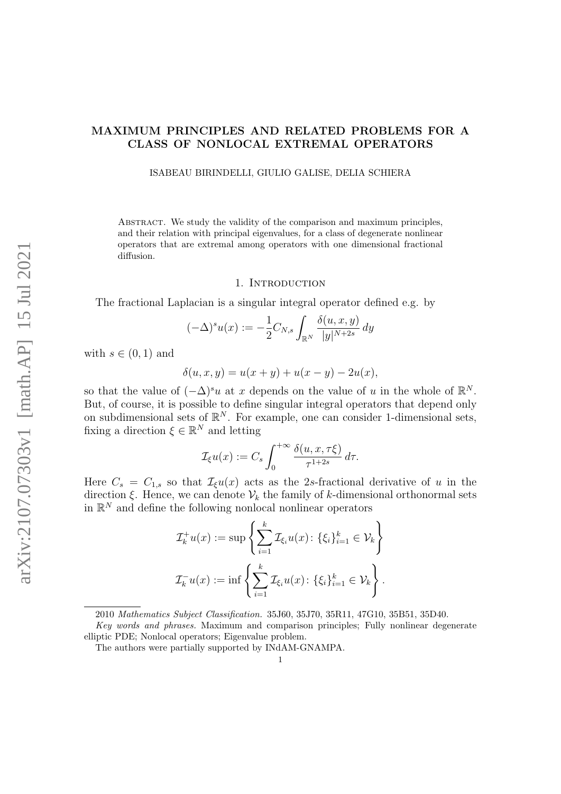# MAXIMUM PRINCIPLES AND RELATED PROBLEMS FOR A CLASS OF NONLOCAL EXTREMAL OPERATORS

ISABEAU BIRINDELLI, GIULIO GALISE, DELIA SCHIERA

ABSTRACT. We study the validity of the comparison and maximum principles. and their relation with principal eigenvalues, for a class of degenerate nonlinear operators that are extremal among operators with one dimensional fractional diffusion.

### 1. INTRODUCTION

The fractional Laplacian is a singular integral operator defined e.g. by

$$
(-\Delta)^s u(x) := -\frac{1}{2} C_{N,s} \int_{\mathbb{R}^N} \frac{\delta(u, x, y)}{|y|^{N+2s}} dy
$$

with  $s \in (0,1)$  and

$$
\delta(u, x, y) = u(x + y) + u(x - y) - 2u(x),
$$

so that the value of  $(-\Delta)^s u$  at x depends on the value of u in the whole of  $\mathbb{R}^N$ . But, of course, it is possible to define singular integral operators that depend only on subdimensional sets of  $\mathbb{R}^N$ . For example, one can consider 1-dimensional sets, fixing a direction  $\xi \in \mathbb{R}^N$  and letting

$$
\mathcal{I}_{\xi}u(x) := C_s \int_0^{+\infty} \frac{\delta(u, x, \tau \xi)}{\tau^{1+2s}} d\tau.
$$

Here  $C_s = C_{1,s}$  so that  $\mathcal{I}_{\xi}u(x)$  acts as the 2s-fractional derivative of u in the direction  $\xi$ . Hence, we can denote  $\mathcal{V}_k$  the family of k-dimensional orthonormal sets in  $\mathbb{R}^N$  and define the following nonlocal nonlinear operators

$$
\mathcal{I}_k^+ u(x) := \sup \left\{ \sum_{i=1}^k \mathcal{I}_{\xi_i} u(x) : \{ \xi_i \}_{i=1}^k \in \mathcal{V}_k \right\}
$$
  

$$
\mathcal{I}_k^- u(x) := \inf \left\{ \sum_{i=1}^k \mathcal{I}_{\xi_i} u(x) : \{ \xi_i \}_{i=1}^k \in \mathcal{V}_k \right\}.
$$

<sup>2010</sup> Mathematics Subject Classification. 35J60, 35J70, 35R11, 47G10, 35B51, 35D40.

Key words and phrases. Maximum and comparison principles; Fully nonlinear degenerate elliptic PDE; Nonlocal operators; Eigenvalue problem.

The authors were partially supported by INdAM-GNAMPA.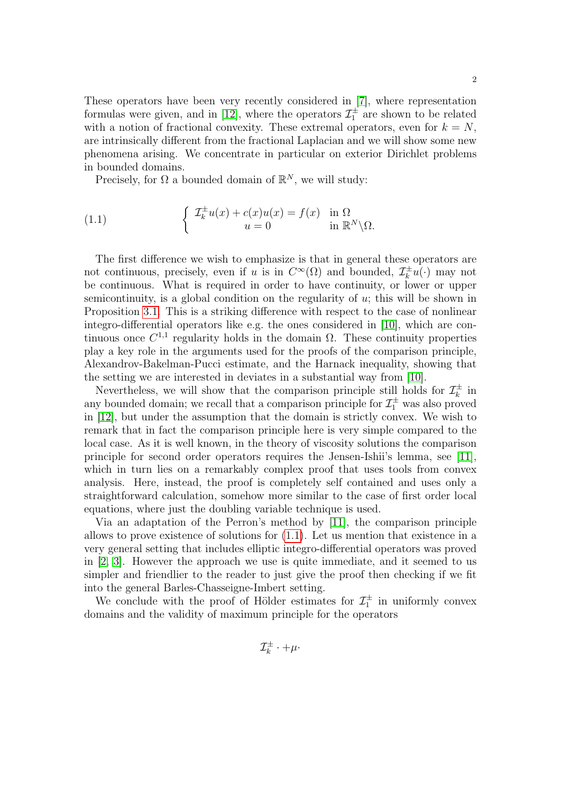These operators have been very recently considered in [\[7\]](#page-40-0), where representation formulas were given, and in [\[12\]](#page-41-0), where the operators  $\mathcal{I}_1^{\pm}$  are shown to be related with a notion of fractional convexity. These extremal operators, even for  $k = N$ , are intrinsically different from the fractional Laplacian and we will show some new phenomena arising. We concentrate in particular on exterior Dirichlet problems in bounded domains.

<span id="page-1-0"></span>Precisely, for  $\Omega$  a bounded domain of  $\mathbb{R}^N$ , we will study:

(1.1) 
$$
\begin{cases} \mathcal{I}_k^{\pm} u(x) + c(x)u(x) = f(x) & \text{in } \Omega \\ u = 0 & \text{in } \mathbb{R}^N \backslash \Omega. \end{cases}
$$

The first difference we wish to emphasize is that in general these operators are not continuous, precisely, even if u is in  $C^{\infty}(\Omega)$  and bounded,  $\mathcal{I}_{k}^{\pm}$  $\overline{u}_k^{\pm}u(\cdot)$  may not be continuous. What is required in order to have continuity, or lower or upper semicontinuity, is a global condition on the regularity of  $u$ ; this will be shown in Proposition [3.1.](#page-10-0) This is a striking difference with respect to the case of nonlinear integro-differential operators like e.g. the ones considered in [\[10\]](#page-41-1), which are continuous once  $C^{1,1}$  regularity holds in the domain  $\Omega$ . These continuity properties play a key role in the arguments used for the proofs of the comparison principle, Alexandrov-Bakelman-Pucci estimate, and the Harnack inequality, showing that the setting we are interested in deviates in a substantial way from [\[10\]](#page-41-1).

Nevertheless, we will show that the comparison principle still holds for  $\mathcal{I}_k^{\pm}$  $\frac{1}{k}$  in any bounded domain; we recall that a comparison principle for  $\mathcal{I}_1^{\pm}$  was also proved in [\[12\]](#page-41-0), but under the assumption that the domain is strictly convex. We wish to remark that in fact the comparison principle here is very simple compared to the local case. As it is well known, in the theory of viscosity solutions the comparison principle for second order operators requires the Jensen-Ishii's lemma, see [\[11\]](#page-41-2), which in turn lies on a remarkably complex proof that uses tools from convex analysis. Here, instead, the proof is completely self contained and uses only a straightforward calculation, somehow more similar to the case of first order local equations, where just the doubling variable technique is used.

Via an adaptation of the Perron's method by [\[11\]](#page-41-2), the comparison principle allows to prove existence of solutions for [\(1.1\)](#page-1-0). Let us mention that existence in a very general setting that includes elliptic integro-differential operators was proved in [\[2,](#page-40-1) [3\]](#page-40-2). However the approach we use is quite immediate, and it seemed to us simpler and friendlier to the reader to just give the proof then checking if we fit into the general Barles-Chasseigne-Imbert setting.

We conclude with the proof of Hölder estimates for  $\mathcal{I}_1^{\pm}$  in uniformly convex domains and the validity of maximum principle for the operators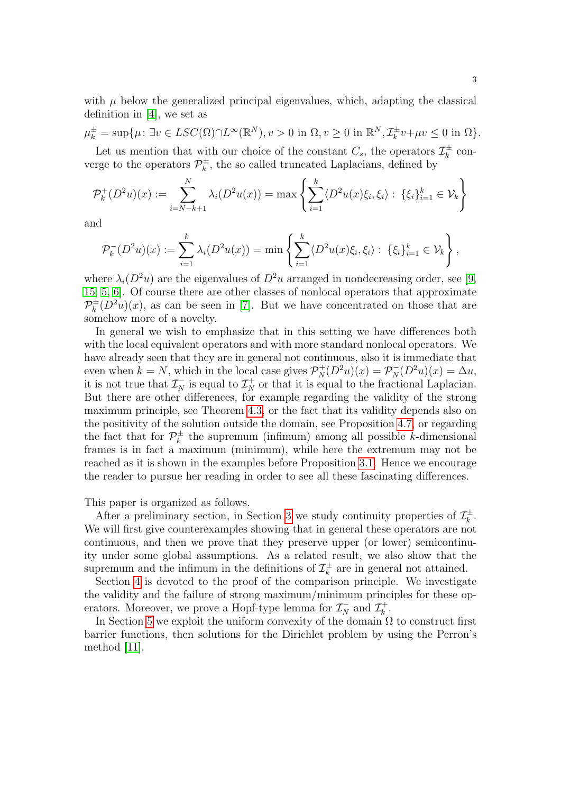with  $\mu$  below the generalized principal eigenvalues, which, adapting the classical definition in [\[4\]](#page-40-3), we set as

$$
\mu_k^{\pm} = \sup \{ \mu : \exists v \in LSC(\Omega) \cap L^{\infty}(\mathbb{R}^N), v > 0 \text{ in } \Omega, v \ge 0 \text{ in } \mathbb{R}^N, \mathcal{I}_k^{\pm} v + \mu v \le 0 \text{ in } \Omega \}.
$$

Let us mention that with our choice of the constant  $C_s$ , the operators  $\mathcal{I}_k^{\pm}$  $\vec{k}$  converge to the operators  $\mathcal{P}_k^{\pm}$  $\mu_k^{\pm}$ , the so called truncated Laplacians, defined by

$$
\mathcal{P}_k^+(D^2u)(x) := \sum_{i=N-k+1}^N \lambda_i(D^2u(x)) = \max\left\{ \sum_{i=1}^k \langle D^2u(x)\xi_i, \xi_i \rangle : \{\xi_i\}_{i=1}^k \in \mathcal{V}_k \right\}
$$

and

$$
\mathcal{P}_k^-(D^2u)(x) := \sum_{i=1}^k \lambda_i(D^2u(x)) = \min \left\{ \sum_{i=1}^k \langle D^2u(x)\xi_i, \xi_i \rangle : \{\xi_i\}_{i=1}^k \in \mathcal{V}_k \right\},\,
$$

where  $\lambda_i(D^2u)$  are the eigenvalues of  $D^2u$  arranged in nondecreasing order, see [\[9,](#page-40-4) [15,](#page-41-3) [5,](#page-40-5) [6\]](#page-40-6). Of course there are other classes of nonlocal operators that approximate  $\mathcal{P}_k^\pm$  $\int_{k}^{\pm} (D^2 u)(x)$ , as can be seen in [\[7\]](#page-40-0). But we have concentrated on those that are somehow more of a novelty.

In general we wish to emphasize that in this setting we have differences both with the local equivalent operators and with more standard nonlocal operators. We have already seen that they are in general not continuous, also it is immediate that even when  $k = N$ , which in the local case gives  $\mathcal{P}_N^+(D^2u)(x) = \mathcal{P}_N^-(D^2u)(x) = \Delta u$ , it is not true that  $\mathcal{I}_N^-$  is equal to  $\mathcal{I}_N^+$  or that it is equal to the fractional Laplacian. But there are other differences, for example regarding the validity of the strong maximum principle, see Theorem [4.3,](#page-14-0) or the fact that its validity depends also on the positivity of the solution outside the domain, see Proposition [4.7,](#page-15-0) or regarding the fact that for  $\mathcal{P}_k^{\pm}$  $\mu_k^{\pm}$  the supremum (infimum) among all possible k-dimensional frames is in fact a maximum (minimum), while here the extremum may not be reached as it is shown in the examples before Proposition [3.1.](#page-10-0) Hence we encourage the reader to pursue her reading in order to see all these fascinating differences.

This paper is organized as follows.

After a preliminary section, in Section [3](#page-5-0) we study continuity properties of  $\mathcal{I}_{k}^{\pm}$  $\frac{1}{k}$ . We will first give counterexamples showing that in general these operators are not continuous, and then we prove that they preserve upper (or lower) semicontinuity under some global assumptions. As a related result, we also show that the supremum and the infimum in the definitions of  $\mathcal{I}_k^{\pm}$  $\bar{x}^{\pm}$  are in general not attained.

Section [4](#page-11-0) is devoted to the proof of the comparison principle. We investigate the validity and the failure of strong maximum/minimum principles for these operators. Moreover, we prove a Hopf-type lemma for  $\mathcal{I}_N^-$  and  $\mathcal{I}_k^+$  $\frac{k}{k}$  .

In Section [5](#page-21-0) we exploit the uniform convexity of the domain  $\Omega$  to construct first barrier functions, then solutions for the Dirichlet problem by using the Perron's method [\[11\]](#page-41-2).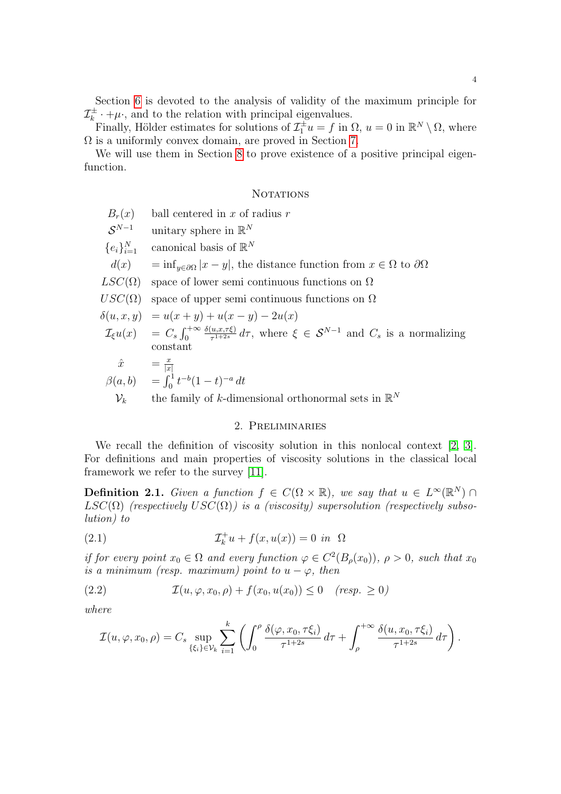Section [6](#page-27-0) is devoted to the analysis of validity of the maximum principle for  $\mathcal{I}_k^\pm$  $\mu_k^{\pm} \cdot + \mu$ , and to the relation with principal eigenvalues.

Finally, Hölder estimates for solutions of  $\mathcal{I}_1^{\pm}u = f$  in  $\Omega$ ,  $u = 0$  in  $\mathbb{R}^N \setminus \Omega$ , where Ω is a uniformly convex domain, are proved in Section [7.](#page-32-0)

We will use them in Section [8](#page-37-0) to prove existence of a positive principal eigenfunction.

## **NOTATIONS**

- $B_r(x)$  ball centered in x of radius r
- $S^{N-1}$  $N-1$  unitary sphere in  $\mathbb{R}^N$
- ${e_i\}_{i=1}^N$  $_{i=1}^N$  canonical basis of  $\mathbb{R}^N$
- $d(x) = \inf_{y \in \partial \Omega} |x y|$ , the distance function from  $x \in \Omega$  to  $\partial \Omega$
- $LSC(\Omega)$  space of lower semi continuous functions on  $\Omega$
- $USC(\Omega)$  space of upper semi continuous functions on  $\Omega$

$$
\delta(u, x, y) = u(x + y) + u(x - y) - 2u(x)
$$

 $\mathcal{I}_{\xi}u(x) = C_s \int_0^{+\infty}$  $\delta(u,x,\tau\xi)$  $\frac{(u,x,\tau\xi)}{\tau^{1+2s}}d\tau$ , where  $\xi \in S^{N-1}$  and  $C_s$  is a normalizing constant

$$
\hat{x} = \frac{x}{|x|}
$$
  
\n
$$
\beta(a, b) = \int_0^1 t^{-b} (1 - t)^{-a} dt
$$
  
\n
$$
\mathcal{V}_k
$$
 the family of *k*-dimensional orthonormal sets in  $\mathbb{R}^N$ 

#### <span id="page-3-0"></span>2. Preliminaries

We recall the definition of viscosity solution in this nonlocal context [\[2,](#page-40-1) [3\]](#page-40-2). For definitions and main properties of viscosity solutions in the classical local framework we refer to the survey [\[11\]](#page-41-2).

**Definition 2.1.** Given a function  $f \in C(\Omega \times \mathbb{R})$ , we say that  $u \in L^{\infty}(\mathbb{R}^{N})$ LSC( $\Omega$ ) (respectively USC( $\Omega$ )) is a (viscosity) supersolution (respectively subsolution) to

(2.1) 
$$
\mathcal{I}_k^+ u + f(x, u(x)) = 0 \text{ in } \Omega
$$

if for every point  $x_0 \in \Omega$  and every function  $\varphi \in C^2(B_\rho(x_0))$ ,  $\rho > 0$ , such that  $x_0$ is a minimum (resp. maximum) point to  $u - \varphi$ , then

$$
(2.2) \t\t\t\t\mathcal{I}(u,\varphi,x_0,\rho) + f(x_0,u(x_0)) \leq 0 \t\t (resp. \geq 0)
$$

where

<span id="page-3-1"></span>
$$
\mathcal{I}(u,\varphi,x_0,\rho)=C_s\sup_{\{\xi_i\}\in\mathcal{V}_k}\sum_{i=1}^k\left(\int_0^\rho\frac{\delta(\varphi,x_0,\tau\xi_i)}{\tau^{1+2s}}\,d\tau+\int_\rho^{+\infty}\frac{\delta(u,x_0,\tau\xi_i)}{\tau^{1+2s}}\,d\tau\right).
$$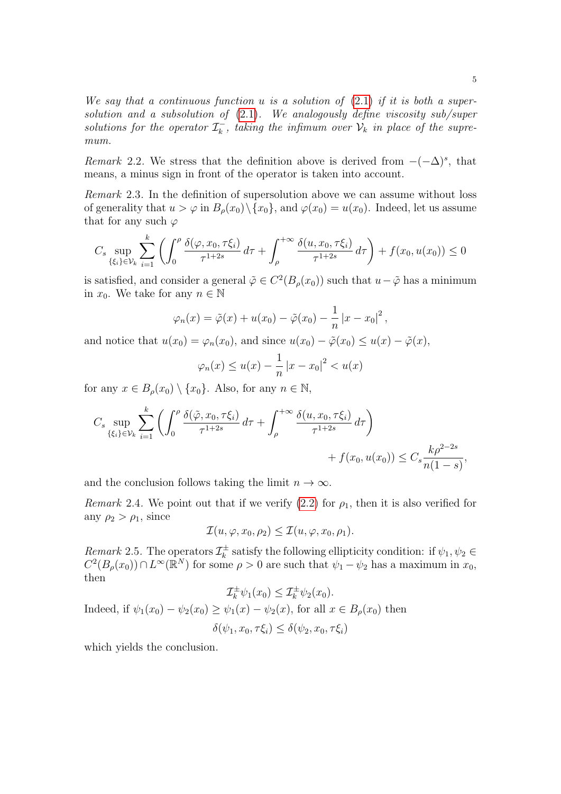We say that a continuous function u is a solution of  $(2.1)$  if it is both a supersolution and a subsolution of  $(2.1)$ . We analogously define viscosity sub/super solutions for the operator  $\mathcal{I}_{k}^{-}$  $\overline{k}$ , taking the infimum over  $\mathcal{V}_k$  in place of the supremum.

Remark 2.2. We stress that the definition above is derived from  $-(-\Delta)^s$ , that means, a minus sign in front of the operator is taken into account.

Remark 2.3. In the definition of supersolution above we can assume without loss of generality that  $u > \varphi$  in  $B_{\rho}(x_0) \setminus \{x_0\}$ , and  $\varphi(x_0) = u(x_0)$ . Indeed, let us assume that for any such  $\varphi$ 

$$
C_s \sup_{\{\xi_i\}\in\mathcal{V}_k} \sum_{i=1}^k \left( \int_0^\rho \frac{\delta(\varphi, x_0, \tau\xi_i)}{\tau^{1+2s}} d\tau + \int_\rho^{+\infty} \frac{\delta(u, x_0, \tau\xi_i)}{\tau^{1+2s}} d\tau \right) + f(x_0, u(x_0)) \le 0
$$

is satisfied, and consider a general  $\tilde{\varphi} \in C^2(B_\rho(x_0))$  such that  $u - \tilde{\varphi}$  has a minimum in  $x_0$ . We take for any  $n \in \mathbb{N}$ 

$$
\varphi_n(x) = \tilde{\varphi}(x) + u(x_0) - \tilde{\varphi}(x_0) - \frac{1}{n} |x - x_0|^2,
$$

and notice that  $u(x_0) = \varphi_n(x_0)$ , and since  $u(x_0) - \tilde{\varphi}(x_0) \le u(x) - \tilde{\varphi}(x)$ ,

$$
\varphi_n(x) \le u(x) - \frac{1}{n} |x - x_0|^2 < u(x)
$$

for any  $x \in B_\rho(x_0) \setminus \{x_0\}$ . Also, for any  $n \in \mathbb{N}$ ,

$$
C_s \sup_{\{\xi_i\} \in \mathcal{V}_k} \sum_{i=1}^k \left( \int_0^\rho \frac{\delta(\tilde{\varphi}, x_0, \tau \xi_i)}{\tau^{1+2s}} d\tau + \int_\rho^{+\infty} \frac{\delta(u, x_0, \tau \xi_i)}{\tau^{1+2s}} d\tau \right) + f(x_0, u(x_0)) \le C_s \frac{k\rho^{2-2s}}{n(1-s)},
$$

and the conclusion follows taking the limit  $n \to \infty$ .

Remark 2.4. We point out that if we verify  $(2.2)$  for  $\rho_1$ , then it is also verified for any  $\rho_2 > \rho_1$ , since

$$
\mathcal{I}(u,\varphi,x_0,\rho_2) \le \mathcal{I}(u,\varphi,x_0,\rho_1).
$$

*Remark* 2.5. The operators  $\mathcal{I}_{k}^{\pm}$  $\chi_k^{\pm}$  satisfy the following ellipticity condition: if  $\psi_1, \psi_2 \in$  $C^2(B_\rho(x_0)) \cap L^\infty(\mathbb{R}^N)$  for some  $\rho > 0$  are such that  $\psi_1 - \psi_2$  has a maximum in  $x_0$ , then

$$
\mathcal{I}_k^{\pm} \psi_1(x_0) \leq \mathcal{I}_k^{\pm} \psi_2(x_0).
$$
  
Indeed, if  $\psi_1(x_0) - \psi_2(x_0) \geq \psi_1(x) - \psi_2(x)$ , for all  $x \in B_\rho(x_0)$  then  

$$
\delta(\psi_1, x_0, \tau \xi_i) \leq \delta(\psi_2, x_0, \tau \xi_i)
$$

which yields the conclusion.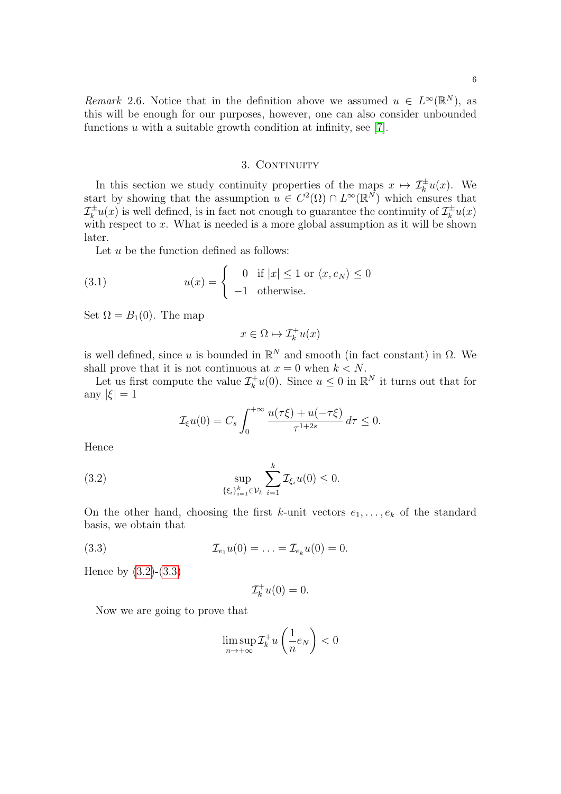Remark 2.6. Notice that in the definition above we assumed  $u \in L^{\infty}(\mathbb{R}^{N})$ , as this will be enough for our purposes, however, one can also consider unbounded functions  $u$  with a suitable growth condition at infinity, see [\[7\]](#page-40-0).

## 3. CONTINUITY

<span id="page-5-0"></span>In this section we study continuity properties of the maps  $x \mapsto \mathcal{I}_k^{\pm}u(x)$ . We start by showing that the assumption  $u \in C^2(\Omega) \cap L^\infty(\mathbb{R}^N)$  which ensures that  $\mathcal{I}_k^{\pm}u(x)$  is well defined, is in fact not enough to guarantee the continuity of  $\mathcal{I}_k^{\pm}u(x)$ with respect to  $x$ . What is needed is a more global assumption as it will be shown later.

Let  $u$  be the function defined as follows:

(3.1) 
$$
u(x) = \begin{cases} 0 & \text{if } |x| \le 1 \text{ or } \langle x, e_N \rangle \le 0 \\ -1 & \text{otherwise.} \end{cases}
$$

Set  $\Omega = B_1(0)$ . The map

<span id="page-5-3"></span>
$$
x\in \Omega \mapsto \mathcal{I}_k^+u(x)
$$

is well defined, since u is bounded in  $\mathbb{R}^N$  and smooth (in fact constant) in  $\Omega$ . We shall prove that it is not continuous at  $x = 0$  when  $k \leq N$ .

Let us first compute the value  $\mathcal{I}_{k}^{+}u(0)$ . Since  $u \leq 0$  in  $\mathbb{R}^{N}$  it turns out that for any  $|\xi|=1$ 

<span id="page-5-1"></span>
$$
\mathcal{I}_{\xi}u(0) = C_s \int_0^{+\infty} \frac{u(\tau\xi) + u(-\tau\xi)}{\tau^{1+2s}} d\tau \le 0.
$$

Hence

(3.2) 
$$
\sup_{\{\xi_i\}_{i=1}^k \in \mathcal{V}_k} \sum_{i=1}^k \mathcal{I}_{\xi_i} u(0) \leq 0.
$$

On the other hand, choosing the first k-unit vectors  $e_1, \ldots, e_k$  of the standard basis, we obtain that

(3.3) 
$$
\mathcal{I}_{e_1}u(0) = \ldots = \mathcal{I}_{e_k}u(0) = 0.
$$

Hence by [\(3.2\)](#page-5-1)-[\(3.3\)](#page-5-2)

<span id="page-5-2"></span>
$$
\mathcal{I}_k^+u(0)=0.
$$

Now we are going to prove that

$$
\limsup_{n \to +\infty} \mathcal{I}_k^+ u\left(\frac{1}{n} e_N\right) < 0
$$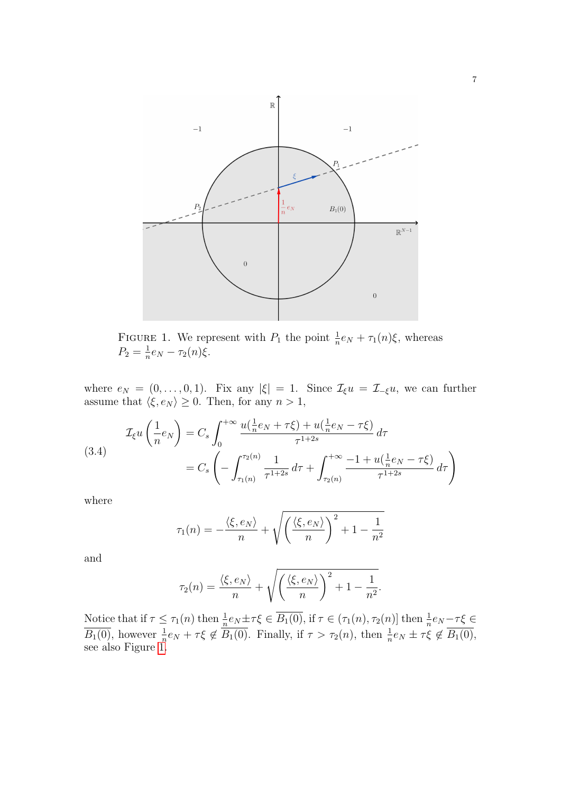<span id="page-6-0"></span>

FIGURE 1. We represent with  $P_1$  the point  $\frac{1}{n}e_N + \tau_1(n)\xi$ , whereas  $P_2 = \frac{1}{n}$  $\frac{1}{n}e_N-\tau_2(n)\xi.$ 

where  $e_N = (0, \ldots, 0, 1)$ . Fix any  $|\xi| = 1$ . Since  $\mathcal{I}_{\xi} u = \mathcal{I}_{-\xi} u$ , we can further assume that  $\langle \xi, e_N \rangle \geq 0$ . Then, for any  $n > 1$ ,

<span id="page-6-1"></span>(3.4)  

$$
\mathcal{I}_{\xi}u\left(\frac{1}{n}e_N\right) = C_s \int_0^{+\infty} \frac{u(\frac{1}{n}e_N + \tau\xi) + u(\frac{1}{n}e_N - \tau\xi)}{\tau^{1+2s}} d\tau
$$

$$
= C_s \left(-\int_{\tau_1(n)}^{\tau_2(n)} \frac{1}{\tau^{1+2s}} d\tau + \int_{\tau_2(n)}^{+\infty} \frac{-1 + u(\frac{1}{n}e_N - \tau\xi)}{\tau^{1+2s}} d\tau\right)
$$

where

$$
\tau_1(n) = -\frac{\langle \xi, e_N \rangle}{n} + \sqrt{\left(\frac{\langle \xi, e_N \rangle}{n}\right)^2 + 1 - \frac{1}{n^2}}
$$

and

$$
\tau_2(n) = \frac{\langle \xi, e_N \rangle}{n} + \sqrt{\left(\frac{\langle \xi, e_N \rangle}{n}\right)^2 + 1 - \frac{1}{n^2}}.
$$

Notice that if  $\tau \leq \tau_1(n)$  then  $\frac{1}{n}e_N \pm \tau \xi \in \overline{B_1(0)}$ , if  $\tau \in (\tau_1(n), \tau_2(n)]$  then  $\frac{1}{n}e_N - \tau \xi \in$  $\overline{B_1(0)}$ , however  $\frac{1}{n}e_N + \tau \xi \notin \overline{B_1(0)}$ . Finally, if  $\tau > \tau_2(n)$ , then  $\frac{1}{n}e_N \pm \tau \xi \notin \overline{B_1(0)}$ , see also Figure [1.](#page-6-0)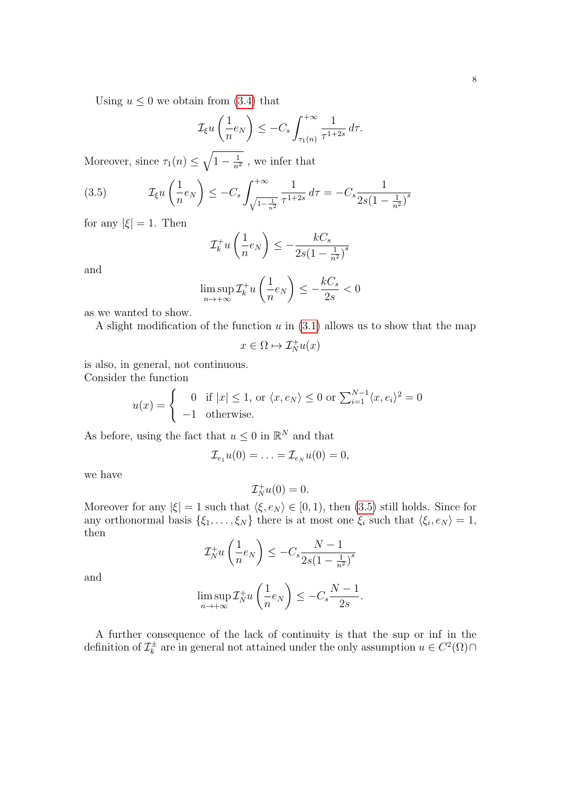$$
\mathcal{I}_{\xi} u\left(\frac{1}{n}e_N\right) \leq -C_s \int_{\tau_1(n)}^{+\infty} \frac{1}{\tau^{1+2s}} d\tau.
$$

Moreover, since  $\tau_1(n) \leq \sqrt{1 - \frac{1}{n^2}}$  $\frac{1}{n^2}$ , we infer that

<span id="page-7-0"></span>(3.5) 
$$
\mathcal{I}_{\xi} u\left(\frac{1}{n}e_N\right) \leq -C_s \int_{\sqrt{1-\frac{1}{n^2}}}^{+\infty} \frac{1}{\tau^{1+2s}} d\tau = -C_s \frac{1}{2s(1-\frac{1}{n^2})^s}
$$

for any  $|\xi| = 1$ . Then

$$
\mathcal{I}_k^+ u\left(\frac{1}{n}e_N\right) \le -\frac{kC_s}{2s\left(1 - \frac{1}{n^2}\right)^s}
$$

and

$$
\limsup_{n \to +\infty} \mathcal{I}_k^+ u\left(\frac{1}{n} e_N\right) \le -\frac{kC_s}{2s} < 0
$$

as we wanted to show.

A slight modification of the function  $u$  in  $(3.1)$  allows us to show that the map

$$
x\in \Omega \mapsto \mathcal{I}_N^+u(x)
$$

is also, in general, not continuous. Consider the function

$$
u(x) = \begin{cases} 0 & \text{if } |x| \le 1, \text{ or } \langle x, e_N \rangle \le 0 \text{ or } \sum_{i=1}^{N-1} \langle x, e_i \rangle^2 = 0\\ -1 & \text{otherwise.} \end{cases}
$$

As before, using the fact that  $u \leq 0$  in  $\mathbb{R}^N$  and that

$$
\mathcal{I}_{e_1}u(0)=\ldots=\mathcal{I}_{e_N}u(0)=0,
$$

we have

$$
\mathcal{I}_N^+u(0)=0.
$$

Moreover for any  $|\xi| = 1$  such that  $\langle \xi, e_N \rangle \in [0, 1)$ , then [\(3.5\)](#page-7-0) still holds. Since for any orthonormal basis  $\{\xi_1, \ldots, \xi_N\}$  there is at most one  $\xi_i$  such that  $\langle \xi_i, e_N \rangle = 1$ , then

$$
\mathcal{I}_N^+ u\left(\frac{1}{n}e_N\right) \le -C_s \frac{N-1}{2s\left(1 - \frac{1}{n^2}\right)^s}
$$

and

$$
\limsup_{n \to +\infty} \mathcal{I}_N^+ u\left(\frac{1}{n} e_N\right) \le -C_s \frac{N-1}{2s}.
$$

A further consequence of the lack of continuity is that the sup or inf in the definition of  $\mathcal{I}_{k}^{\pm}$ <sup> $\pm$ </sup> are in general not attained under the only assumption  $u \in C^2(\Omega) \cap$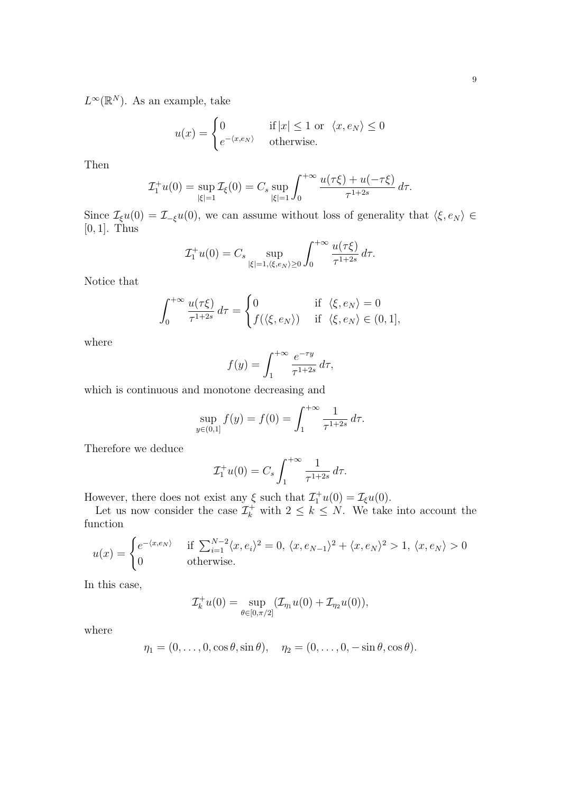$L^{\infty}(\mathbb{R}^N)$ . As an example, take

$$
u(x) = \begin{cases} 0 & \text{if } |x| \le 1 \text{ or } \langle x, e_N \rangle \le 0\\ e^{-\langle x, e_N \rangle} & \text{otherwise.} \end{cases}
$$

Then

$$
\mathcal{I}_1^+ u(0) = \sup_{|\xi|=1} \mathcal{I}_\xi(0) = C_s \sup_{|\xi|=1} \int_0^{+\infty} \frac{u(\tau \xi) + u(-\tau \xi)}{\tau^{1+2s}} d\tau.
$$

Since  $\mathcal{I}_{\xi}u(0) = \mathcal{I}_{-\xi}u(0)$ , we can assume without loss of generality that  $\langle \xi, e_N \rangle \in$ [0, 1]. Thus

$$
\mathcal{I}_1^+ u(0) = C_s \sup_{|\xi|=1, \langle \xi, e_N \rangle \ge 0} \int_0^{+\infty} \frac{u(\tau \xi)}{\tau^{1+2s}} d\tau.
$$

Notice that

$$
\int_0^{+\infty} \frac{u(\tau\xi)}{\tau^{1+2s}} d\tau = \begin{cases} 0 & \text{if } \langle \xi, e_N \rangle = 0 \\ f(\langle \xi, e_N \rangle) & \text{if } \langle \xi, e_N \rangle \in (0,1], \end{cases}
$$

where

$$
f(y) = \int_1^{+\infty} \frac{e^{-\tau y}}{\tau^{1+2s}} d\tau,
$$

which is continuous and monotone decreasing and

$$
\sup_{y \in (0,1]} f(y) = f(0) = \int_1^{+\infty} \frac{1}{\tau^{1+2s}} d\tau.
$$

Therefore we deduce

$$
\mathcal{I}_1^+ u(0) = C_s \int_1^{+\infty} \frac{1}{\tau^{1+2s}} d\tau.
$$

However, there does not exist any  $\xi$  such that  $\mathcal{I}_1^+u(0) = \mathcal{I}_\xi u(0)$ .

Let us now consider the case  $\mathcal{I}_{k}^{+}$  with  $2 \leq k \leq N$ . We take into account the function

$$
u(x) = \begin{cases} e^{-\langle x, e_N \rangle} & \text{if } \sum_{i=1}^{N-2} \langle x, e_i \rangle^2 = 0, \ \langle x, e_{N-1} \rangle^2 + \langle x, e_N \rangle^2 > 1, \ \langle x, e_N \rangle > 0 \\ 0 & \text{otherwise.} \end{cases}
$$

In this case,

$$
\mathcal{I}_k^+ u(0) = \sup_{\theta \in [0, \pi/2]} (\mathcal{I}_{\eta_1} u(0) + \mathcal{I}_{\eta_2} u(0)),
$$

where

$$
\eta_1 = (0,\ldots,0,\cos\theta,\sin\theta), \quad \eta_2 = (0,\ldots,0,-\sin\theta,\cos\theta).
$$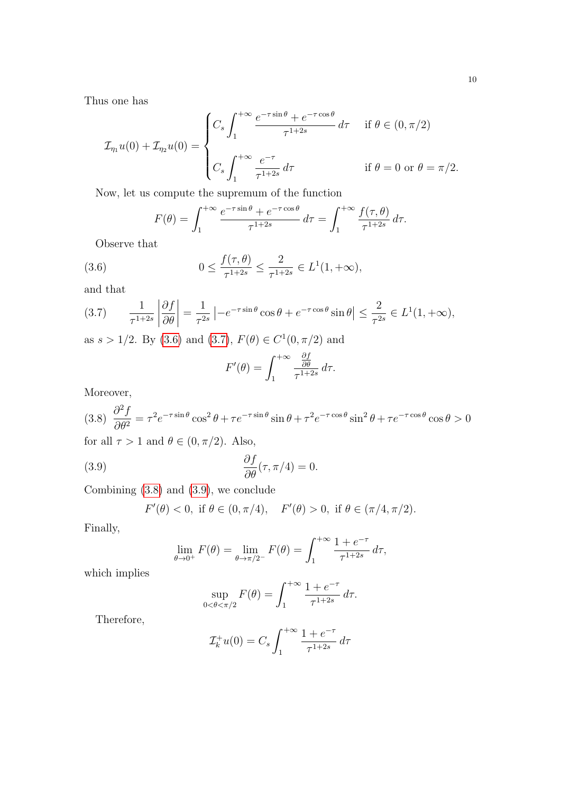Thus one has

$$
\mathcal{I}_{\eta_1}u(0) + \mathcal{I}_{\eta_2}u(0) = \begin{cases} C_s \int_1^{+\infty} \frac{e^{-\tau \sin \theta} + e^{-\tau \cos \theta}}{\tau^{1+2s}} d\tau & \text{if } \theta \in (0, \pi/2) \\ C_s \int_1^{+\infty} \frac{e^{-\tau}}{\tau^{1+2s}} d\tau & \text{if } \theta = 0 \text{ or } \theta = \pi/2. \end{cases}
$$

Now, let us compute the supremum of the function

<span id="page-9-0"></span>
$$
F(\theta) = \int_1^{+\infty} \frac{e^{-\tau \sin \theta} + e^{-\tau \cos \theta}}{\tau^{1+2s}} d\tau = \int_1^{+\infty} \frac{f(\tau, \theta)}{\tau^{1+2s}} d\tau.
$$

Observe that

(3.6) 
$$
0 \le \frac{f(\tau, \theta)}{\tau^{1+2s}} \le \frac{2}{\tau^{1+2s}} \in L^1(1, +\infty),
$$

and that

<span id="page-9-1"></span>
$$
(3.7) \qquad \frac{1}{\tau^{1+2s}} \left| \frac{\partial f}{\partial \theta} \right| = \frac{1}{\tau^{2s}} \left| -e^{-\tau \sin \theta} \cos \theta + e^{-\tau \cos \theta} \sin \theta \right| \le \frac{2}{\tau^{2s}} \in L^1(1, +\infty),
$$

as  $s > 1/2$ . By [\(3.6\)](#page-9-0) and [\(3.7\)](#page-9-1),  $F(\theta) \in C^1(0, \pi/2)$  and

$$
F'(\theta) = \int_1^{+\infty} \frac{\frac{\partial f}{\partial \theta}}{\tau^{1+2s}} d\tau.
$$

Moreover,

<span id="page-9-2"></span>
$$
(3.8)\ \frac{\partial^2 f}{\partial \theta^2} = \tau^2 e^{-\tau \sin \theta} \cos^2 \theta + \tau e^{-\tau \sin \theta} \sin \theta + \tau^2 e^{-\tau \cos \theta} \sin^2 \theta + \tau e^{-\tau \cos \theta} \cos \theta > 0
$$

for all  $\tau > 1$  and  $\theta \in (0, \pi/2)$ . Also,

(3.9) 
$$
\frac{\partial f}{\partial \theta}(\tau, \pi/4) = 0.
$$

Combining [\(3.8\)](#page-9-2) and [\(3.9\)](#page-9-3), we conclude

$$
F'(\theta) < 0
$$
, if  $\theta \in (0, \pi/4)$ ,  $F'(\theta) > 0$ , if  $\theta \in (\pi/4, \pi/2)$ .

Finally,

<span id="page-9-3"></span>
$$
\lim_{\theta \to 0^+} F(\theta) = \lim_{\theta \to \pi/2^-} F(\theta) = \int_1^{+\infty} \frac{1 + e^{-\tau}}{\tau^{1+2s}} d\tau,
$$

which implies

$$
\sup_{0 < \theta < \pi/2} F(\theta) = \int_{1}^{+\infty} \frac{1 + e^{-\tau}}{\tau^{1+2s}} \, d\tau.
$$

Therefore,

$$
\mathcal{I}_k^+ u(0) = C_s \int_1^{+\infty} \frac{1 + e^{-\tau}}{\tau^{1+2s}} d\tau
$$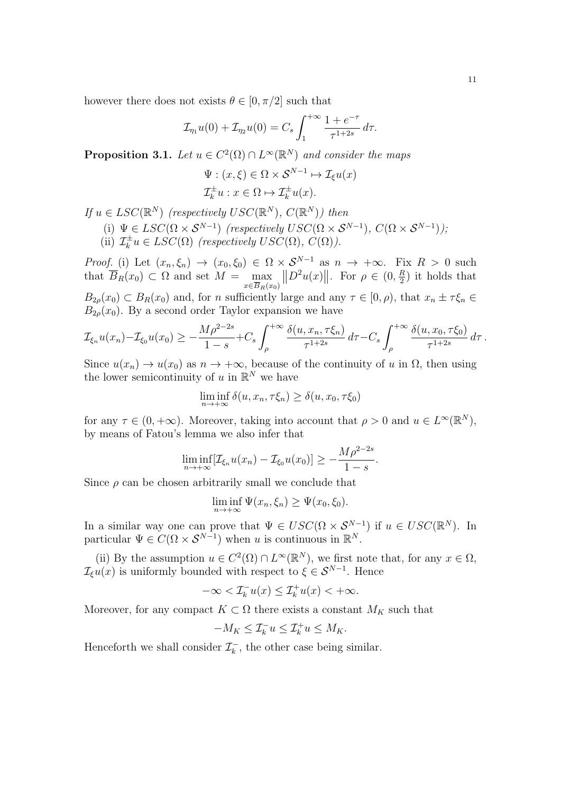$$
\mathcal{I}_{\eta_1}u(0) + \mathcal{I}_{\eta_2}u(0) = C_s \int_1^{+\infty} \frac{1 + e^{-\tau}}{\tau^{1+2s}} d\tau.
$$

<span id="page-10-0"></span>**Proposition 3.1.** Let  $u \in C^2(\Omega) \cap L^{\infty}(\mathbb{R}^N)$  and consider the maps

$$
\Psi: (x,\xi) \in \Omega \times \mathcal{S}^{N-1} \mapsto \mathcal{I}_{\xi}u(x)
$$

$$
\mathcal{I}_{k}^{\pm}u: x \in \Omega \mapsto \mathcal{I}_{k}^{\pm}u(x).
$$

If  $u \in LSC(\mathbb{R}^N)$  (respectively  $USC(\mathbb{R}^N)$ ,  $C(\mathbb{R}^N)$ ) then

(i)  $\Psi \in LSC(\Omega \times S^{N-1})$  (respectively  $USC(\Omega \times S^{N-1}), C(\Omega \times S^{N-1})$ );  $(iii)$   $\mathcal{I}_k^{\pm}$  $\mathcal{L}_k^{\pm}u \in LSC(\Omega)$  (respectively  $USC(\Omega)$ ,  $C(\Omega)$ ).

*Proof.* (i) Let  $(x_n, \xi_n) \to (x_0, \xi_0) \in \Omega \times S^{N-1}$  as  $n \to +\infty$ . Fix  $R > 0$  such that  $B_R(x_0) \subset \Omega$  and set  $M = \max$  $x \in B_R(x_0)$  $||D^2u(x)||.$  For  $\rho \in (0, \frac{R}{2})$  $\frac{R}{2}$ ) it holds that  $B_{2\rho}(x_0) \subset B_R(x_0)$  and, for n sufficiently large and any  $\tau \in [0, \rho)$ , that  $x_n \pm \tau \xi_n \in$  $B_{2\rho}(x_0)$ . By a second order Taylor expansion we have

$$
\mathcal{I}_{\xi_n} u(x_n) - \mathcal{I}_{\xi_0} u(x_0) \ge -\frac{M \rho^{2-2s}}{1-s} + C_s \int_{\rho}^{+\infty} \frac{\delta(u, x_n, \tau \xi_n)}{\tau^{1+2s}} d\tau - C_s \int_{\rho}^{+\infty} \frac{\delta(u, x_0, \tau \xi_0)}{\tau^{1+2s}} d\tau.
$$

Since  $u(x_n) \to u(x_0)$  as  $n \to +\infty$ , because of the continuity of u in  $\Omega$ , then using the lower semicontinuity of u in  $\mathbb{R}^N$  we have

$$
\liminf_{n \to +\infty} \delta(u, x_n, \tau \xi_n) \ge \delta(u, x_0, \tau \xi_0)
$$

for any  $\tau \in (0, +\infty)$ . Moreover, taking into account that  $\rho > 0$  and  $u \in L^{\infty}(\mathbb{R}^N)$ , by means of Fatou's lemma we also infer that

$$
\liminf_{n \to +\infty} [\mathcal{I}_{\xi_n} u(x_n) - \mathcal{I}_{\xi_0} u(x_0)] \geq -\frac{M \rho^{2-2s}}{1-s}.
$$

Since  $\rho$  can be chosen arbitrarily small we conclude that

$$
\liminf_{n \to +\infty} \Psi(x_n, \xi_n) \ge \Psi(x_0, \xi_0).
$$

In a similar way one can prove that  $\Psi \in USC(\Omega \times S^{N-1})$  if  $u \in USC(\mathbb{R}^N)$ . In particular  $\Psi \in C(\Omega \times S^{N-1})$  when u is continuous in  $\mathbb{R}^N$ .

(ii) By the assumption  $u \in C^2(\Omega) \cap L^\infty(\mathbb{R}^N)$ , we first note that, for any  $x \in \Omega$ ,  $\mathcal{I}_{\xi}u(x)$  is uniformly bounded with respect to  $\xi \in \mathcal{S}^{N-1}$ . Hence

$$
-\infty < \mathcal{I}_k^- u(x) \le \mathcal{I}_k^+ u(x) < +\infty.
$$

Moreover, for any compact  $K \subset \Omega$  there exists a constant  $M_K$  such that

$$
-M_K \leq \mathcal{I}_k^- u \leq \mathcal{I}_k^+ u \leq M_K.
$$

Henceforth we shall consider  $\mathcal{I}_{k}^{-}$  $\bar{k}_k$ , the other case being similar.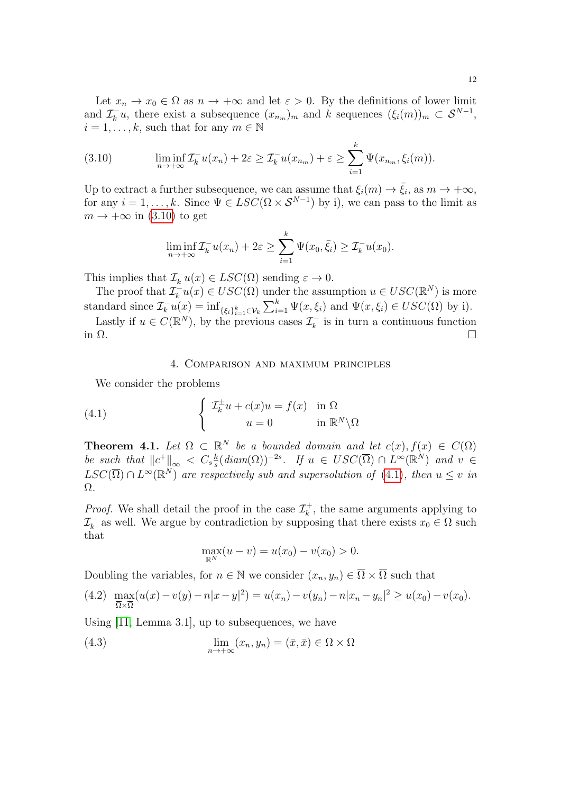Let  $x_n \to x_0 \in \Omega$  as  $n \to +\infty$  and let  $\varepsilon > 0$ . By the definitions of lower limit and  $\mathcal{I}_k^ \overline{k}_{k}u$ , there exist a subsequence  $(x_{n_m})_m$  and k sequences  $(\xi_i(m))_m \subset \mathcal{S}^{N-1}$ ,  $i = 1, \ldots, k$ , such that for any  $m \in \mathbb{N}$ 

<span id="page-11-1"></span>(3.10) 
$$
\liminf_{n \to +\infty} \mathcal{I}_k^{-} u(x_n) + 2\varepsilon \geq \mathcal{I}_k^{-} u(x_{n_m}) + \varepsilon \geq \sum_{i=1}^k \Psi(x_{n_m}, \xi_i(m)).
$$

Up to extract a further subsequence, we can assume that  $\xi_i(m) \to \bar{\xi}_i$ , as  $m \to +\infty$ , for any  $i = 1, ..., k$ . Since  $\Psi \in LSC(\Omega \times S^{N-1})$  by i), we can pass to the limit as  $m \to +\infty$  in [\(3.10\)](#page-11-1) to get

$$
\liminf_{n \to +\infty} \mathcal{I}_k^{-} u(x_n) + 2\varepsilon \ge \sum_{i=1}^k \Psi(x_0, \bar{\xi}_i) \ge \mathcal{I}_k^{-} u(x_0).
$$

This implies that  $\mathcal{I}_{k}^{-}u(x) \in LSC(\Omega)$  sending  $\varepsilon \to 0$ .

The proof that  $\mathcal{I}_k^ \sum_{k=1}^{n} u(x) \in USC(\Omega)$  under the assumption  $u \in USC(\mathbb{R}^N)$  is more standard since  $\mathcal{I}_k^{-}u(x) = \inf_{\{\xi_i\}_{i=1}^k \in \mathcal{V}_k} \sum_{i=1}^k \Psi(x, \xi_i)$  and  $\Psi(x, \xi_i) \in USC(\Omega)$  by i).

Lastly if  $u \in C(\mathbb{R}^N)$ , by the previous cases  $\mathcal{I}_k^ \bar{k}_k$  is in turn a continuous function in  $\Omega$ .

### <span id="page-11-2"></span>4. Comparison and maximum principles

<span id="page-11-0"></span>We consider the problems

(4.1) 
$$
\begin{cases} \mathcal{I}_k^{\pm} u + c(x)u = f(x) & \text{in } \Omega \\ u = 0 & \text{in } \mathbb{R}^N \backslash \Omega \end{cases}
$$

<span id="page-11-5"></span>**Theorem 4.1.** Let  $\Omega \subset \mathbb{R}^N$  be a bounded domain and let  $c(x)$ ,  $f(x) \in C(\Omega)$ be such that  $||c^+||_{\infty} < C_s \frac{k}{s}$  $\frac{k}{s}(diam(\Omega))^{-2s}$ . If  $u \in USC(\overline{\Omega}) \cap L^{\infty}(\mathbb{R}^N)$  and  $v \in$  $LSC(\overline{\Omega}) \cap L^{\infty}(\mathbb{R}^{N})$  are respectively sub and supersolution of [\(4.1\)](#page-11-2), then  $u \leq v$  in Ω.

*Proof.* We shall detail the proof in the case  $\mathcal{I}_{k}^{+}$  $\tau_k^+$ , the same arguments applying to  $\mathcal{I}_k^ \overline{k}_{k}$  as well. We argue by contradiction by supposing that there exists  $x_0 \in \Omega$  such that

<span id="page-11-4"></span>
$$
\max_{\mathbb{R}^N}(u-v) = u(x_0) - v(x_0) > 0.
$$

Doubling the variables, for  $n \in \mathbb{N}$  we consider  $(x_n, y_n) \in \overline{\Omega} \times \overline{\Omega}$  such that

<span id="page-11-3"></span>
$$
(4.2) \ \ \max_{\overline{\Omega}\times\overline{\Omega}}(u(x)-v(y)-n|x-y|^2) = u(x_n)-v(y_n)-n|x_n-y_n|^2 \ge u(x_0)-v(x_0).
$$

Using [\[11,](#page-41-2) Lemma 3.1], up to subsequences, we have

(4.3) 
$$
\lim_{n \to +\infty} (x_n, y_n) = (\bar{x}, \bar{x}) \in \Omega \times \Omega
$$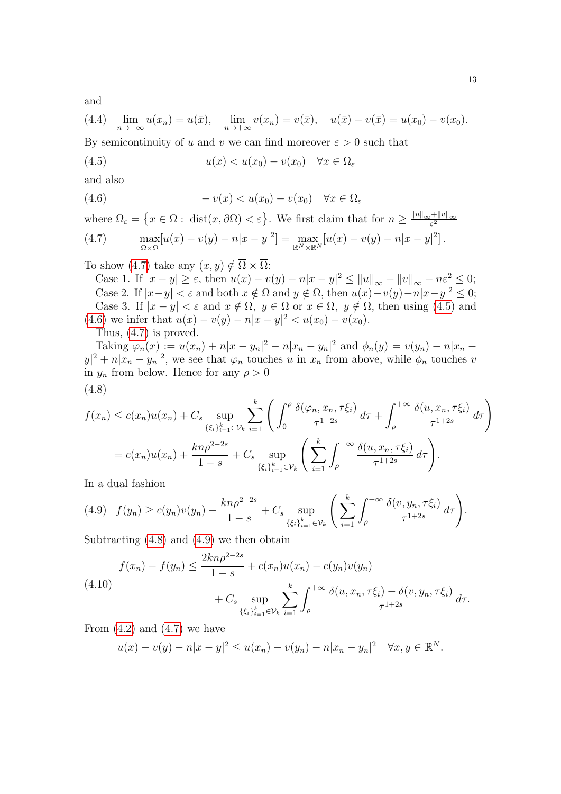and

<span id="page-12-6"></span>(4.4) 
$$
\lim_{n \to +\infty} u(x_n) = u(\bar{x}), \quad \lim_{n \to +\infty} v(x_n) = v(\bar{x}), \quad u(\bar{x}) - v(\bar{x}) = u(x_0) - v(x_0).
$$

By semicontinuity of u and v we can find moreover  $\varepsilon > 0$  such that

<span id="page-12-1"></span>(4.5) 
$$
u(x) < u(x_0) - v(x_0) \quad \forall x \in \Omega_\varepsilon
$$

and also

<span id="page-12-2"></span>(4.6) 
$$
-v(x) < u(x_0) - v(x_0) \quad \forall x \in \Omega_\varepsilon
$$

where  $\Omega_{\varepsilon} = \left\{ x \in \overline{\Omega} : \text{ dist}(x, \partial \Omega) < \varepsilon \right\}$ . We first claim that for  $n \geq \frac{\|u\|_{\infty} + \|v\|_{\infty}}{\varepsilon^2}$  $\varepsilon^2$ 

<span id="page-12-0"></span>(4.7) 
$$
\max_{\overline{\Omega}\times\overline{\Omega}}[u(x)-v(y)-n|x-y|^2] = \max_{\mathbb{R}^N\times\mathbb{R}^N}[u(x)-v(y)-n|x-y|^2].
$$

To show [\(4.7\)](#page-12-0) take any  $(x, y) \notin \overline{\Omega} \times \overline{\Omega}$ :

Case 1. If  $|x - y| \ge \varepsilon$ , then  $u(x) - v(y) - n|x - y|^2 \le ||u||_{\infty} + ||v||_{\infty} - n\varepsilon^2 \le 0$ ; Case 2. If  $|x-y| < \varepsilon$  and both  $x \notin \overline{\Omega}$  and  $y \notin \overline{\Omega}$ , then  $u(x)-v(y)-n|x-y|^2 \leq 0$ ; Case 3. If  $|x-y| < \varepsilon$  and  $x \notin \overline{\Omega}$ ,  $y \in \overline{\Omega}$  or  $x \in \overline{\Omega}$ ,  $y \notin \overline{\Omega}$ , then using [\(4.5\)](#page-12-1) and [\(4.6\)](#page-12-2) we infer that  $u(x) - v(y) - n|x - y|^2 < u(x_0) - v(x_0)$ .

Thus, [\(4.7\)](#page-12-0) is proved.

Taking  $\varphi_n(x) := u(x_n) + n|x - y_n|^2 - n|x_n - y_n|^2$  and  $\phi_n(y) = v(y_n) - n|x_n - y_n|^2$  $|y|^2 + n|x_n - y_n|^2$ , we see that  $\varphi_n$  touches u in  $x_n$  from above, while  $\phi_n$  touches v in  $y_n$  from below. Hence for any  $\rho > 0$ (4.8)

<span id="page-12-3"></span>
$$
f(x_n) \le c(x_n)u(x_n) + C_s \sup_{\{\xi_i\}_{i=1}^k \in \mathcal{V}_k} \sum_{i=1}^k \left( \int_0^{\rho} \frac{\delta(\varphi_n, x_n, \tau \xi_i)}{\tau^{1+2s}} d\tau + \int_{\rho}^{+\infty} \frac{\delta(u, x_n, \tau \xi_i)}{\tau^{1+2s}} d\tau \right)
$$
  
=  $c(x_n)u(x_n) + \frac{kn\rho^{2-2s}}{1-s} + C_s \sup_{\{\xi_i\}_{i=1}^k \in \mathcal{V}_k} \left( \sum_{i=1}^k \int_{\rho}^{+\infty} \frac{\delta(u, x_n, \tau \xi_i)}{\tau^{1+2s}} d\tau \right).$ 

In a dual fashion

<span id="page-12-4"></span>
$$
(4.9) \quad f(y_n) \ge c(y_n)v(y_n) - \frac{kn\rho^{2-2s}}{1-s} + C_s \sup_{\{\xi_i\}_{i=1}^k \in \mathcal{V}_k} \left( \sum_{i=1}^k \int_{\rho}^{+\infty} \frac{\delta(v, y_n, \tau \xi_i)}{\tau^{1+2s}} d\tau \right).
$$

Subtracting  $(4.8)$  and  $(4.9)$  we then obtain

<span id="page-12-5"></span>
$$
f(x_n) - f(y_n) \le \frac{2kn\rho^{2-2s}}{1-s} + c(x_n)u(x_n) - c(y_n)v(y_n)
$$
  
(4.10)  

$$
+ C_s \sup_{\{\xi_i\}_{i=1}^k \in \mathcal{V}_k} \sum_{i=1}^k \int_{\rho}^{+\infty} \frac{\delta(u, x_n, \tau \xi_i) - \delta(v, y_n, \tau \xi_i)}{\tau^{1+2s}} d\tau.
$$

From  $(4.2)$  and  $(4.7)$  we have

$$
u(x) - v(y) - n|x - y|^2 \le u(x_n) - v(y_n) - n|x_n - y_n|^2 \quad \forall x, y \in \mathbb{R}^N.
$$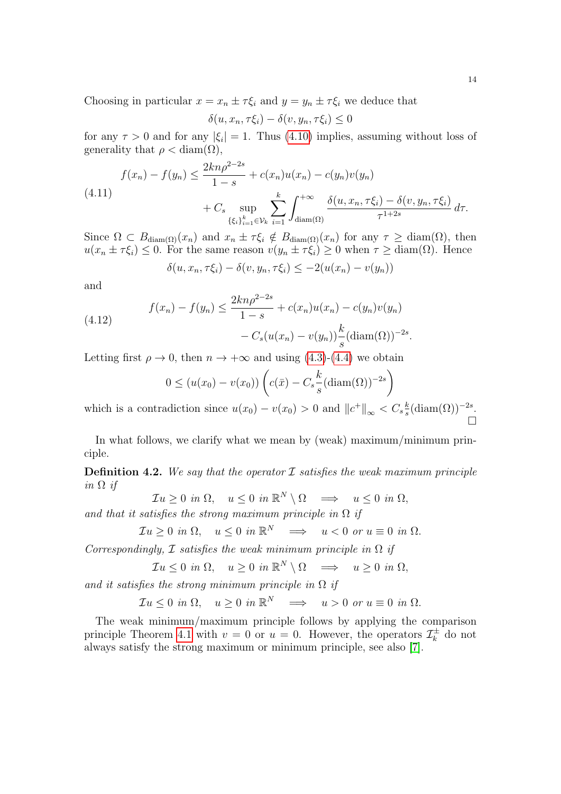Choosing in particular  $x = x_n \pm \tau \xi_i$  and  $y = y_n \pm \tau \xi_i$  we deduce that

$$
\delta(u, x_n, \tau \xi_i) - \delta(v, y_n, \tau \xi_i) \le 0
$$

for any  $\tau > 0$  and for any  $|\xi_i| = 1$ . Thus [\(4.10\)](#page-12-5) implies, assuming without loss of generality that  $\rho < \text{diam}(\Omega)$ ,

$$
f(x_n) - f(y_n) \le \frac{2kn\rho^{2-2s}}{1-s} + c(x_n)u(x_n) - c(y_n)v(y_n)
$$
  
(4.11)  

$$
+ C_s \sup_{\{\xi_i\}_{i=1}^k \in \mathcal{V}_k} \sum_{i=1}^k \int_{\text{diam}(\Omega)}^{+\infty} \frac{\delta(u, x_n, \tau \xi_i) - \delta(v, y_n, \tau \xi_i)}{\tau^{1+2s}} d\tau.
$$

Since  $\Omega \subset B_{\text{diam}(\Omega)}(x_n)$  and  $x_n \pm \tau \xi_i \notin B_{\text{diam}(\Omega)}(x_n)$  for any  $\tau \geq \text{diam}(\Omega)$ , then  $u(x_n \pm \tau \xi_i) \leq 0$ . For the same reason  $v(y_n \pm \tau \xi_i) \geq 0$  when  $\tau \geq \text{diam}(\Omega)$ . Hence

$$
\delta(u, x_n, \tau \xi_i) - \delta(v, y_n, \tau \xi_i) \leq -2(u(x_n) - v(y_n))
$$

and

(4.12) 
$$
f(x_n) - f(y_n) \le \frac{2kn\rho^{2-2s}}{1-s} + c(x_n)u(x_n) - c(y_n)v(y_n) - C_s(u(x_n) - v(y_n))\frac{k}{s}(\text{diam}(\Omega))^{-2s}.
$$

Letting first  $\rho \to 0$ , then  $n \to +\infty$  and using [\(4.3\)](#page-11-4)-[\(4.4\)](#page-12-6) we obtain

$$
0 \le (u(x_0) - v(x_0)) \left( c(\bar{x}) - C_s \frac{k}{s} (\text{diam}(\Omega))^{-2s} \right)
$$

which is a contradiction since  $u(x_0) - v(x_0) > 0$  and  $||c^+||_{\infty} < C_s \frac{k}{s}$  $\frac{k}{s}$ (diam( $\Omega$ ))<sup>-2s</sup>.  $\Box$ 

In what follows, we clarify what we mean by (weak) maximum/minimum principle.

**Definition 4.2.** We say that the operator  $\mathcal I$  satisfies the weak maximum principle in  $\Omega$  if

$$
\mathcal{I}u \ge 0 \text{ in } \Omega, \quad u \le 0 \text{ in } \mathbb{R}^N \setminus \Omega \quad \Longrightarrow \quad u \le 0 \text{ in } \Omega,
$$

and that it satisfies the strong maximum principle in  $\Omega$  if

$$
\mathcal{I}u \ge 0 \text{ in } \Omega, \quad u \le 0 \text{ in } \mathbb{R}^N \quad \Longrightarrow \quad u < 0 \text{ or } u \equiv 0 \text{ in } \Omega.
$$

Correspondingly,  $\mathcal I$  satisfies the weak minimum principle in  $\Omega$  if

$$
\mathcal{I}u \leq 0 \text{ in } \Omega, \quad u \geq 0 \text{ in } \mathbb{R}^N \setminus \Omega \quad \Longrightarrow \quad u \geq 0 \text{ in } \Omega,
$$

and it satisfies the strong minimum principle in  $\Omega$  if

$$
\mathcal{I}u \leq 0
$$
 in  $\Omega$ ,  $u \geq 0$  in  $\mathbb{R}^N \implies u > 0$  or  $u \equiv 0$  in  $\Omega$ .

The weak minimum/maximum principle follows by applying the comparison principle Theorem [4.1](#page-11-5) with  $v = 0$  or  $u = 0$ . However, the operators  $\mathcal{I}_{k}^{\pm}$  $\vec{a}_k^{\pm}$  do not always satisfy the strong maximum or minimum principle, see also [\[7\]](#page-40-0).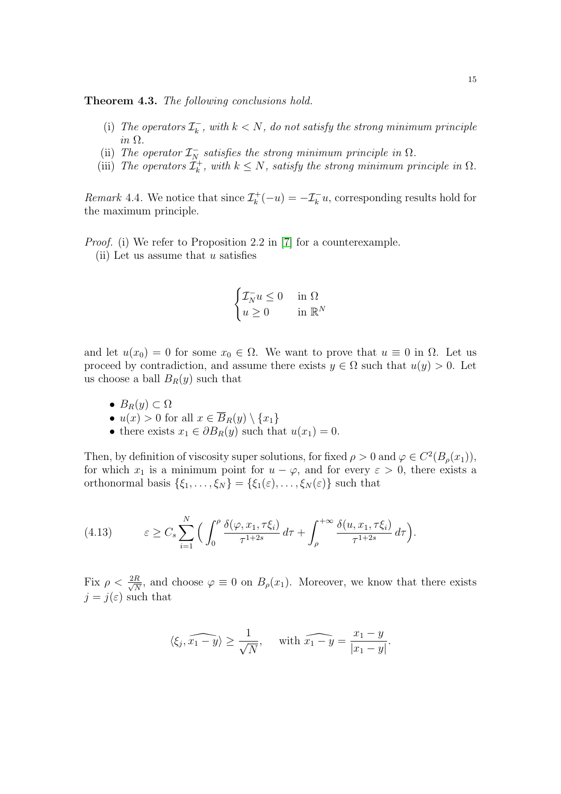<span id="page-14-0"></span>Theorem 4.3. The following conclusions hold.

- (i) The operators  $\mathcal{I}_k^ \mathcal{L}_k^{\mathbb{L}}$ , with  $k < N$ , do not satisfy the strong minimum principle in Ω.
- (ii) The operator  $\mathcal{I}_{N}^-$  satisfies the strong minimum principle in  $\Omega$ .
- (iii) The operators  $\mathcal{I}_{k}^{+}$  $k_{k}^{+}$ , with  $k \leq N$ , satisfy the strong minimum principle in  $\Omega$ .

Remark 4.4. We notice that since  $\mathcal{I}_{k}^{+}$  $\mathcal{I}_{k}^{+}(-u) = -\mathcal{I}_{k}^{-}u$ , corresponding results hold for the maximum principle.

Proof. (i) We refer to Proposition 2.2 in [\[7\]](#page-40-0) for a counterexample.

(ii) Let us assume that  $u$  satisfies

$$
\begin{cases} \mathcal{I}_N^- u \le 0 & \text{in } \Omega\\ u \ge 0 & \text{in } \mathbb{R}^N \end{cases}
$$

and let  $u(x_0) = 0$  for some  $x_0 \in \Omega$ . We want to prove that  $u \equiv 0$  in  $\Omega$ . Let us proceed by contradiction, and assume there exists  $y \in \Omega$  such that  $u(y) > 0$ . Let us choose a ball  $B_R(y)$  such that

- $B_R(y) \subset \Omega$
- $u(x) > 0$  for all  $x \in \overline{B}_R(y) \setminus \{x_1\}$
- there exists  $x_1 \in \partial B_R(y)$  such that  $u(x_1) = 0$ .

Then, by definition of viscosity super solutions, for fixed  $\rho > 0$  and  $\varphi \in C^2(B_\rho(x_1)),$ for which  $x_1$  is a minimum point for  $u - \varphi$ , and for every  $\varepsilon > 0$ , there exists a orthonormal basis  $\{\xi_1,\ldots,\xi_N\} = \{\xi_1(\varepsilon),\ldots,\xi_N(\varepsilon)\}\$  such that

<span id="page-14-1"></span>(4.13) 
$$
\varepsilon \geq C_s \sum_{i=1}^N \left( \int_0^{\rho} \frac{\delta(\varphi, x_1, \tau \xi_i)}{\tau^{1+2s}} d\tau + \int_{\rho}^{+\infty} \frac{\delta(u, x_1, \tau \xi_i)}{\tau^{1+2s}} d\tau \right).
$$

Fix  $\rho < \frac{2R}{\sqrt{\lambda}}$  $\frac{R}{N}$ , and choose  $\varphi \equiv 0$  on  $B_{\rho}(x_1)$ . Moreover, we know that there exists  $j = j(\varepsilon)$  such that

$$
\langle \xi_j, \widehat{x_1 - y} \rangle \ge \frac{1}{\sqrt{N}}, \quad \text{with } \widehat{x_1 - y} = \frac{x_1 - y}{|x_1 - y|}.
$$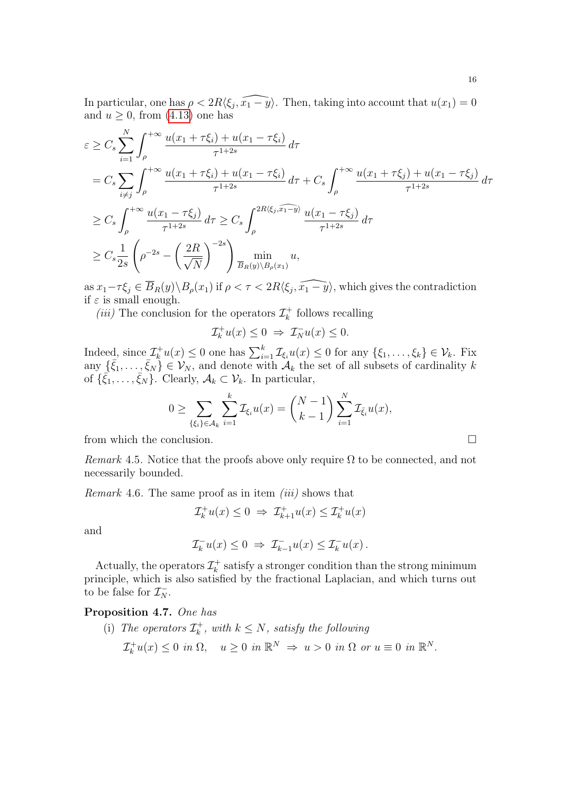In particular, one has  $\rho < 2R\langle \xi_j, \widehat{x_1 - y}\rangle$ . Then, taking into account that  $u(x_1) = 0$ and  $u \geq 0$ , from [\(4.13\)](#page-14-1) one has

$$
\varepsilon \geq C_{s} \sum_{i=1}^{N} \int_{\rho}^{+\infty} \frac{u(x_{1} + \tau \xi_{i}) + u(x_{1} - \tau \xi_{i})}{\tau^{1+2s}} d\tau
$$
\n
$$
= C_{s} \sum_{i \neq j} \int_{\rho}^{+\infty} \frac{u(x_{1} + \tau \xi_{i}) + u(x_{1} - \tau \xi_{i})}{\tau^{1+2s}} d\tau + C_{s} \int_{\rho}^{+\infty} \frac{u(x_{1} + \tau \xi_{j}) + u(x_{1} - \tau \xi_{j})}{\tau^{1+2s}} d\tau
$$
\n
$$
\geq C_{s} \int_{\rho}^{+\infty} \frac{u(x_{1} - \tau \xi_{j})}{\tau^{1+2s}} d\tau \geq C_{s} \int_{\rho}^{2R \langle \xi_{j}, \widehat{x_{1} - y} \rangle} \frac{u(x_{1} - \tau \xi_{j})}{\tau^{1+2s}} d\tau
$$
\n
$$
\geq C_{s} \frac{1}{2s} \left( \rho^{-2s} - \left( \frac{2R}{\sqrt{N}} \right)^{-2s} \right) \min_{\overline{B}_{R}(y) \setminus B_{\rho}(x_{1})} u,
$$

as  $x_1 - \tau \xi_j \in \overline{B}_R(y) \setminus B_\rho(x_1)$  if  $\rho < \tau < 2R \langle \xi_j, \widehat{x_1 - y} \rangle$ , which gives the contradiction if  $\varepsilon$  is small enough.

(*iii*) The conclusion for the operators  $\mathcal{I}_{k}^{+}$  $\bar{k}$  follows recalling

$$
\mathcal{I}_k^+ u(x) \le 0 \ \Rightarrow \ \mathcal{I}_N^- u(x) \le 0.
$$

Indeed, since  $\mathcal{I}_k^+ u(x) \leq 0$  one has  $\sum_{i=1}^k \mathcal{I}_{\xi_i} u(x) \leq 0$  for any  $\{\xi_1, \ldots, \xi_k\} \in \mathcal{V}_k$ . Fix any  $\{\bar{\xi}_1,\ldots,\bar{\xi}_N\} \in \mathcal{V}_N$ , and denote with  $\mathcal{A}_k$  the set of all subsets of cardinality k of  $\{\bar{\xi}_1,\ldots,\bar{\xi}_N\}$ . Clearly,  $\mathcal{A}_k \subset \mathcal{V}_k$ . In particular,

$$
0 \ge \sum_{\{\xi_i\} \in \mathcal{A}_k} \sum_{i=1}^k \mathcal{I}_{\xi_i} u(x) = {N-1 \choose k-1} \sum_{i=1}^N \mathcal{I}_{\xi_i} u(x),
$$

from which the conclusion.  $\Box$ 

Remark 4.5. Notice that the proofs above only require  $\Omega$  to be connected, and not necessarily bounded.

<span id="page-15-1"></span>*Remark* 4.6. The same proof as in item *(iii)* shows that

$$
\mathcal{I}_k^+ u(x) \le 0 \implies \mathcal{I}_{k+1}^+ u(x) \le \mathcal{I}_k^+ u(x)
$$

and

$$
\mathcal{I}_k^- u(x) \leq 0 \ \Rightarrow \ \mathcal{I}_{k-1}^- u(x) \leq \mathcal{I}_k^- u(x) \, .
$$

Actually, the operators  $\mathcal{I}_{k}^{+}$  $k_k^+$  satisfy a stronger condition than the strong minimum principle, which is also satisfied by the fractional Laplacian, and which turns out to be false for  $\mathcal{I}_N^-$ .

## <span id="page-15-0"></span>Proposition 4.7. One has

(i) The operators  $\mathcal{I}_{k}^{+}$  $k_k^+$ , with  $k \leq N$ , satisfy the following  $\mathcal{I}_k^+ u(x) \leq 0$  in  $\Omega$ ,  $u \geq 0$  in  $\mathbb{R}^N \Rightarrow u > 0$  in  $\Omega$  or  $u \equiv 0$  in  $\mathbb{R}^N$ .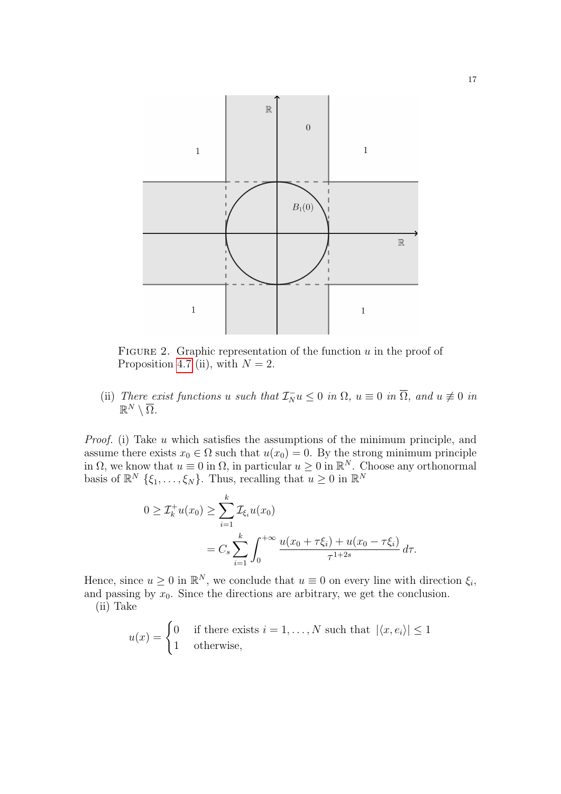<span id="page-16-0"></span>

FIGURE 2. Graphic representation of the function  $u$  in the proof of Proposition [4.7](#page-15-0) (ii), with  $N = 2$ .

(ii) There exist functions u such that  $\mathcal{I}_{N}^{-}u \leq 0$  in  $\Omega$ ,  $u \equiv 0$  in  $\overline{\Omega}$ , and  $u \not\equiv 0$  in  $\mathbb{R}^N\setminus\overline{\Omega}$ .

Proof. (i) Take u which satisfies the assumptions of the minimum principle, and assume there exists  $x_0 \in \Omega$  such that  $u(x_0) = 0$ . By the strong minimum principle in  $\Omega$ , we know that  $u \equiv 0$  in  $\Omega$ , in particular  $u \geq 0$  in  $\mathbb{R}^N$ . Choose any orthonormal basis of  $\mathbb{R}^N \{\xi_1, \ldots, \xi_N\}$ . Thus, recalling that  $u \geq 0$  in  $\mathbb{R}^N$ 

$$
0 \geq \mathcal{I}_k^+ u(x_0) \geq \sum_{i=1}^k \mathcal{I}_{\xi_i} u(x_0)
$$
  
=  $C_s \sum_{i=1}^k \int_0^{+\infty} \frac{u(x_0 + \tau \xi_i) + u(x_0 - \tau \xi_i)}{\tau^{1+2s}} d\tau.$ 

Hence, since  $u \geq 0$  in  $\mathbb{R}^N$ , we conclude that  $u \equiv 0$  on every line with direction  $\xi_i$ , and passing by  $x_0$ . Since the directions are arbitrary, we get the conclusion. (ii) Take

$$
u(x) = \begin{cases} 0 & \text{if there exists } i = 1, ..., N \text{ such that } |\langle x, e_i \rangle| \le 1\\ 1 & \text{otherwise,} \end{cases}
$$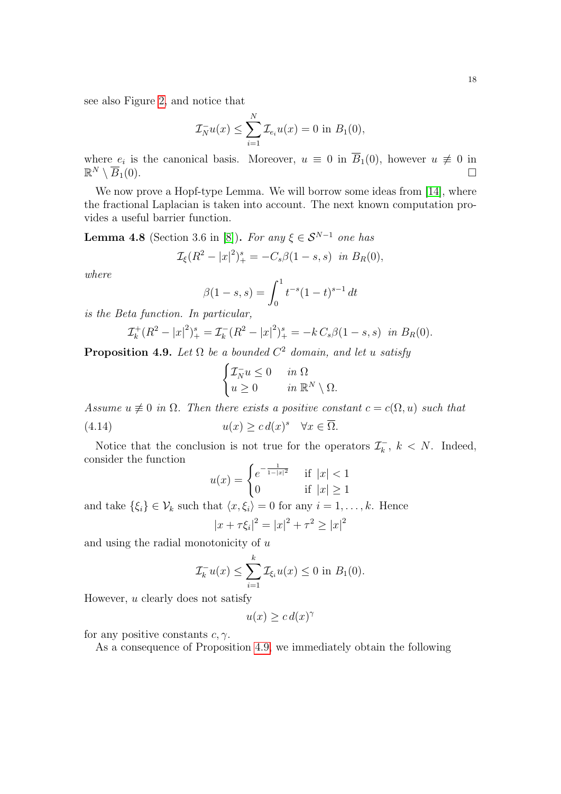see also Figure [2,](#page-16-0) and notice that

$$
\mathcal{I}_N^- u(x) \le \sum_{i=1}^N \mathcal{I}_{e_i} u(x) = 0 \text{ in } B_1(0),
$$

where  $e_i$  is the canonical basis. Moreover,  $u \equiv 0$  in  $\overline{B_1}(0)$ , however  $u \not\equiv 0$  in  $\mathbb{R}^N \setminus \overline{B}_1(0).$ 

We now prove a Hopf-type Lemma. We will borrow some ideas from [\[14\]](#page-41-4), where the fractional Laplacian is taken into account. The next known computation provides a useful barrier function.

<span id="page-17-1"></span>**Lemma 4.8** (Section 3.6 in [\[8\]](#page-40-7)). For any  $\xi \in S^{N-1}$  one has

$$
\mathcal{I}_{\xi}(R^2 - |x|^2)^s_+ = -C_s\beta(1 - s, s) \text{ in } B_R(0),
$$

where

$$
\beta(1-s,s) = \int_0^1 t^{-s} (1-t)^{s-1} dt
$$

is the Beta function. In particular,

$$
\mathcal{I}_{k}^{+}(R^{2}-|x|^{2})_{+}^{s} = \mathcal{I}_{k}^{-}(R^{2}-|x|^{2})_{+}^{s} = -k C_{s}\beta(1-s,s) \text{ in } B_{R}(0).
$$

<span id="page-17-0"></span>**Proposition 4.9.** Let  $\Omega$  be a bounded  $C^2$  domain, and let u satisfy

$$
\begin{cases} \mathcal{I}_N^- u \leq 0 & \text{in } \Omega \\ u \geq 0 & \text{in } \mathbb{R}^N \setminus \Omega. \end{cases}
$$

Assume  $u \not\equiv 0$  in  $\Omega$ . Then there exists a positive constant  $c = c(\Omega, u)$  such that

(4.14) 
$$
u(x) \ge c d(x)^s \quad \forall x \in \overline{\Omega}.
$$

Notice that the conclusion is not true for the operators  $\mathcal{I}_{k}^ \bar{k}_k$ ,  $k < N$ . Indeed, consider the function

<span id="page-17-2"></span>
$$
u(x) = \begin{cases} e^{-\frac{1}{1-|x|^2}} & \text{if } |x| < 1\\ 0 & \text{if } |x| \ge 1 \end{cases}
$$

and take  $\{\xi_i\} \in \mathcal{V}_k$  such that  $\langle x, \xi_i \rangle = 0$  for any  $i = 1, \ldots, k$ . Hence  $|x + \tau \xi_i|^2 = |x|^2 + \tau^2 \ge |x|^2$ 

and using the radial monotonicity of  $u$ 

$$
\mathcal{I}_k^- u(x) \leq \sum_{i=1}^k \mathcal{I}_{\xi_i} u(x) \leq 0 \text{ in } B_1(0).
$$

However, u clearly does not satisfy

$$
u(x) \ge c \, d(x)^\gamma
$$

for any positive constants  $c, \gamma$ .

As a consequence of Proposition [4.9,](#page-17-0) we immediately obtain the following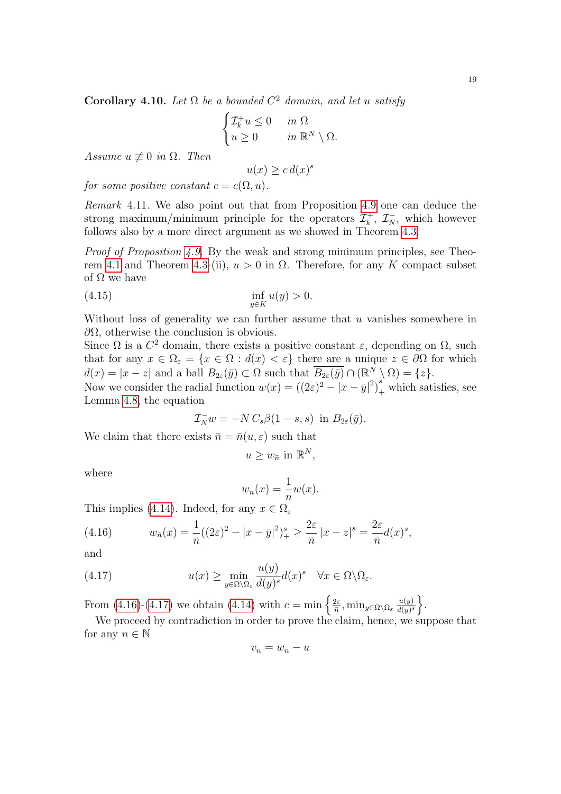Corollary 4.10. Let  $\Omega$  be a bounded  $C^2$  domain, and let u satisfy

$$
\begin{cases} \mathcal{I}_k^+ u \le 0 & \text{in } \Omega \\ u \ge 0 & \text{in } \mathbb{R}^N \setminus \Omega. \end{cases}
$$

Assume  $u \not\equiv 0$  in  $\Omega$ . Then

<span id="page-18-2"></span>
$$
u(x) \ge c \, d(x)^s
$$

for some positive constant  $c = c(\Omega, u)$ .

Remark 4.11. We also point out that from Proposition [4.9](#page-17-0) one can deduce the strong maximum/minimum principle for the operators  $\mathcal{I}_{k}^{+}$  $\mathcal{I}_{k}^{+}$ ,  $\mathcal{I}_{N}^{-}$ , which however follows also by a more direct argument as we showed in Theorem [4.3.](#page-14-0)

Proof of Proposition [4.9.](#page-17-0) By the weak and strong minimum principles, see Theo-rem [4.1](#page-11-5) and Theorem [4.3-](#page-14-0)(ii),  $u > 0$  in  $\Omega$ . Therefore, for any K compact subset of  $\Omega$  we have

$$
\inf_{y \in K} u(y) > 0.
$$

Without loss of generality we can further assume that  $u$  vanishes somewhere in  $\partial Ω$ , otherwise the conclusion is obvious.

Since  $\Omega$  is a  $C^2$  domain, there exists a positive constant  $\varepsilon$ , depending on  $\Omega$ , such that for any  $x \in \Omega_{\varepsilon} = \{x \in \Omega : d(x) < \varepsilon\}$  there are a unique  $z \in \partial\Omega$  for which  $d(x) = |x - z|$  and a ball  $B_{2\varepsilon}(\bar{y}) \subset \Omega$  such that  $\overline{B_{2\varepsilon}(\bar{y})} \cap (\mathbb{R}^N \setminus \Omega) = \{z\}.$ 

Now we consider the radial function  $w(x) = ((2\varepsilon)^2 - |x - \bar{y}|^2)^s_+$  which satisfies, see Lemma [4.8,](#page-17-1) the equation

$$
\mathcal{I}_N^- w = -N C_s \beta (1 - s, s) \text{ in } B_{2\varepsilon}(\bar{y}).
$$

We claim that there exists  $\bar{n} = \bar{n}(u, \varepsilon)$  such that

$$
u \geq w_{\bar{n}} \text{ in } \mathbb{R}^N,
$$

where

$$
w_n(x) = \frac{1}{n}w(x).
$$

This implies [\(4.14\)](#page-17-2). Indeed, for any  $x \in \Omega_{\varepsilon}$ 

<span id="page-18-0"></span>(4.16) 
$$
w_{\bar{n}}(x) = \frac{1}{\bar{n}}((2\varepsilon)^2 - |x - \bar{y}|^2)^s + \ge \frac{2\varepsilon}{\bar{n}} |x - z|^s = \frac{2\varepsilon}{\bar{n}} d(x)^s,
$$

and

(4.17) 
$$
u(x) \geq \min_{y \in \Omega \setminus \Omega_{\varepsilon}} \frac{u(y)}{d(y)^s} d(x)^s \quad \forall x \in \Omega \setminus \Omega_{\varepsilon}.
$$

From [\(4.16\)](#page-18-0)-[\(4.17\)](#page-18-1) we obtain [\(4.14\)](#page-17-2) with  $c = \min \left\{ \frac{2\varepsilon}{n} \right\}$  $\frac{2\varepsilon}{\bar{n}}, \min_{y\in\Omega\setminus\Omega_\varepsilon}\frac{u(y)}{d(y)^s}$  $\frac{u(y)}{d(y)^s}$ .

We proceed by contradiction in order to prove the claim, hence, we suppose that for any  $n \in \mathbb{N}$ 

<span id="page-18-1"></span>
$$
v_n = w_n - u
$$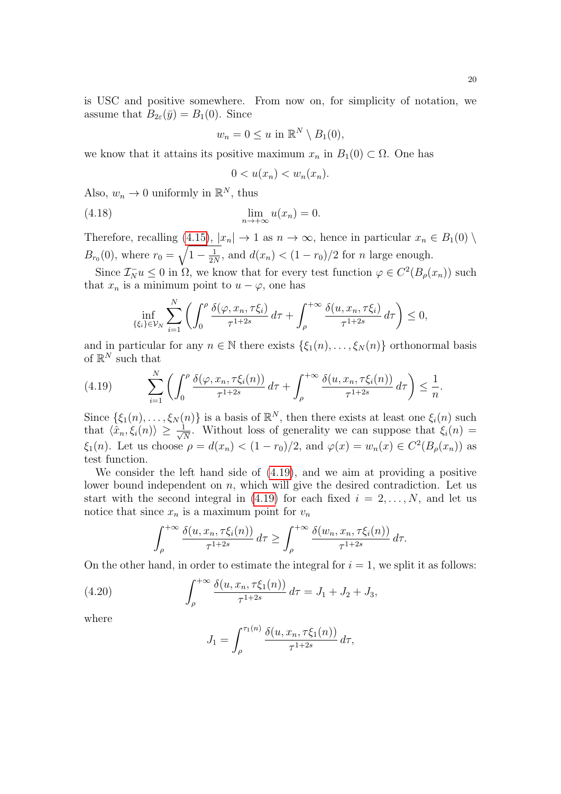is USC and positive somewhere. From now on, for simplicity of notation, we assume that  $B_{2\varepsilon}(\bar{y}) = B_1(0)$ . Since

$$
w_n = 0 \le u \text{ in } \mathbb{R}^N \setminus B_1(0),
$$

we know that it attains its positive maximum  $x_n$  in  $B_1(0) \subset \Omega$ . One has

<span id="page-19-1"></span>
$$
0 < u(x_n) < w_n(x_n).
$$

Also,  $w_n \to 0$  uniformly in  $\mathbb{R}^N$ , thus

(4.18) 
$$
\lim_{n \to +\infty} u(x_n) = 0.
$$

Therefore, recalling [\(4.15\)](#page-18-2),  $|x_n| \to 1$  as  $n \to \infty$ , hence in particular  $x_n \in B_1(0) \setminus$  $B_{r_0}(0)$ , where  $r_0 = \sqrt{1 - \frac{1}{2l}}$  $\frac{1}{2N}$ , and  $d(x_n) < (1 - r_0)/2$  for *n* large enough.

Since  $\mathcal{I}_{N}^{-}u \leq 0$  in  $\Omega$ , we know that for every test function  $\varphi \in C^{2}(B_{\rho}(x_{n}))$  such that  $x_n$  is a minimum point to  $u - \varphi$ , one has

$$
\inf_{\{\xi_i\}\in\mathcal{V}_N}\sum_{i=1}^N\left(\int_0^\rho\frac{\delta(\varphi,x_n,\tau\xi_i)}{\tau^{1+2s}}\,d\tau+\int_\rho^{+\infty}\frac{\delta(u,x_n,\tau\xi_i)}{\tau^{1+2s}}\,d\tau\right)\leq 0,
$$

and in particular for any  $n \in \mathbb{N}$  there exists  $\{\xi_1(n), \ldots, \xi_N(n)\}\$  orthonormal basis of  $\mathbb{R}^N$  such that

<span id="page-19-0"></span>
$$
(4.19) \qquad \sum_{i=1}^N \left( \int_0^\rho \frac{\delta(\varphi, x_n, \tau \xi_i(n))}{\tau^{1+2s}} d\tau + \int_\rho^{+\infty} \frac{\delta(u, x_n, \tau \xi_i(n))}{\tau^{1+2s}} d\tau \right) \leq \frac{1}{n}.
$$

Since  $\{\xi_1(n), \ldots, \xi_N(n)\}\$ is a basis of  $\mathbb{R}^N$ , then there exists at least one  $\xi_i(n)$  such that  $\langle \hat{x}_n, \xi_i(n) \rangle \geq \frac{1}{\sqrt{n}}$  $\frac{1}{N}$ . Without loss of generality we can suppose that  $\xi_i(n) =$  $\xi_1(n)$ . Let us choose  $\rho = d(x_n) < (1 - r_0)/2$ , and  $\varphi(x) = w_n(x) \in C^2(B_\rho(x_n))$  as test function.

We consider the left hand side of [\(4.19\)](#page-19-0), and we aim at providing a positive lower bound independent on  $n$ , which will give the desired contradiction. Let us start with the second integral in [\(4.19\)](#page-19-0) for each fixed  $i = 2, \ldots, N$ , and let us notice that since  $x_n$  is a maximum point for  $v_n$ 

$$
\int_{\rho}^{+\infty} \frac{\delta(u, x_n, \tau \xi_i(n))}{\tau^{1+2s}} d\tau \geq \int_{\rho}^{+\infty} \frac{\delta(w_n, x_n, \tau \xi_i(n))}{\tau^{1+2s}} d\tau.
$$

On the other hand, in order to estimate the integral for  $i = 1$ , we split it as follows:

(4.20) 
$$
\int_{\rho}^{+\infty} \frac{\delta(u, x_n, \tau \xi_1(n))}{\tau^{1+2s}} d\tau = J_1 + J_2 + J_3,
$$

where

$$
J_1 = \int_{\rho}^{\tau_1(n)} \frac{\delta(u, x_n, \tau \xi_1(n))}{\tau^{1+2s}} d\tau,
$$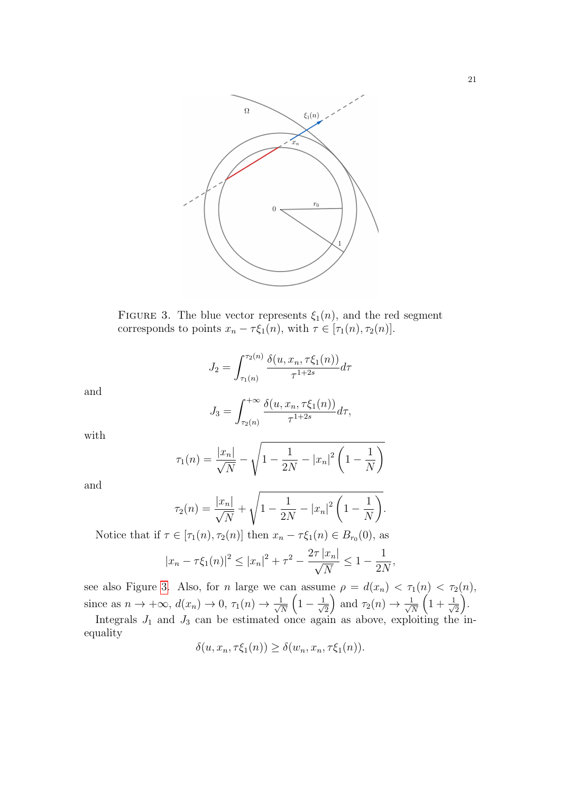<span id="page-20-0"></span>

FIGURE 3. The blue vector represents  $\xi_1(n)$ , and the red segment corresponds to points  $x_n - \tau \xi_1(n)$ , with  $\tau \in [\tau_1(n), \tau_2(n)]$ .

$$
J_2 = \int_{\tau_1(n)}^{\tau_2(n)} \frac{\delta(u, x_n, \tau \xi_1(n))}{\tau^{1+2s}} d\tau
$$

and

$$
J_3 = \int_{\tau_2(n)}^{+\infty} \frac{\delta(u, x_n, \tau \xi_1(n))}{\tau^{1+2s}} d\tau,
$$

with

$$
\tau_1(n) = \frac{|x_n|}{\sqrt{N}} - \sqrt{1 - \frac{1}{2N} - |x_n|^2 \left(1 - \frac{1}{N}\right)}
$$

and

$$
\tau_2(n) = \frac{|x_n|}{\sqrt{N}} + \sqrt{1 - \frac{1}{2N} - |x_n|^2 \left(1 - \frac{1}{N}\right)}.
$$

Notice that if  $\tau \in [\tau_1(n), \tau_2(n)]$  then  $x_n - \tau \xi_1(n) \in B_{r_0}(0)$ , as

$$
|x_n - \tau \xi_1(n)|^2 \le |x_n|^2 + \tau^2 - \frac{2\tau |x_n|}{\sqrt{N}} \le 1 - \frac{1}{2N},
$$

see also Figure [3.](#page-20-0) Also, for *n* large we can assume  $\rho = d(x_n) < \tau_1(n) < \tau_2(n)$ , since as  $n \to +\infty$ ,  $d(x_n) \to 0$ ,  $\tau_1(n) \to \frac{1}{\sqrt{n}}$ N  $\left(1-\frac{1}{\sqrt{2}}\right)$ 2 ) and  $\tau_2(n) \to \frac{1}{\sqrt{n}}$ N  $\left(1+\frac{1}{l}\right)$  $\overline{c}$ .

Integrals  $J_1$  and  $J_3$  can be estimated once again as above, exploiting the inequality

$$
\delta(u, x_n, \tau \xi_1(n)) \ge \delta(w_n, x_n, \tau \xi_1(n)).
$$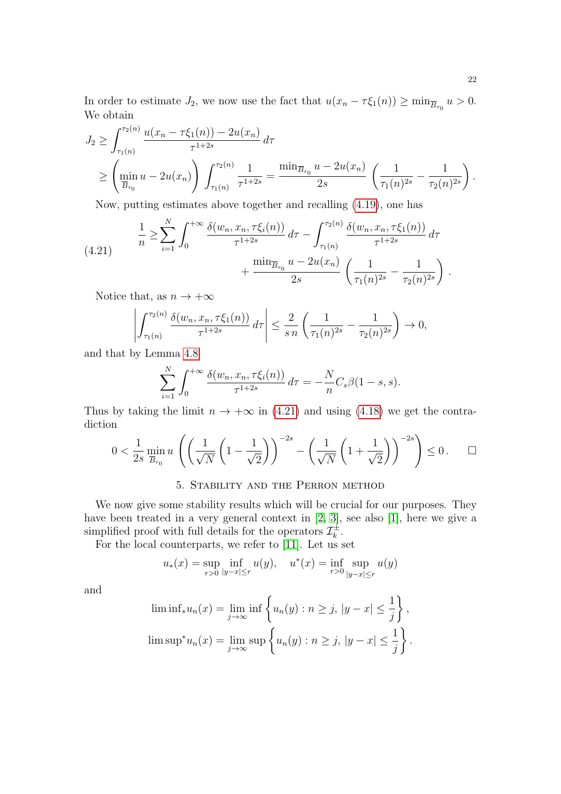In order to estimate  $J_2$ , we now use the fact that  $u(x_n - \tau \xi_1(n)) \ge \min_{\overline{B}_{r_0}} u > 0$ . We obtain

$$
J_2 \ge \int_{\tau_1(n)}^{\tau_2(n)} \frac{u(x_n - \tau \xi_1(n)) - 2u(x_n)}{\tau^{1+2s}} d\tau
$$
  
 
$$
\ge \left(\min_{\overline{B}_{r_0}} u - 2u(x_n)\right) \int_{\tau_1(n)}^{\tau_2(n)} \frac{1}{\tau^{1+2s}} = \frac{\min_{\overline{B}_{r_0}} u - 2u(x_n)}{2s} \left(\frac{1}{\tau_1(n)^{2s}} - \frac{1}{\tau_2(n)^{2s}}\right).
$$

Now, putting estimates above together and recalling [\(4.19\)](#page-19-0), one has

<span id="page-21-1"></span>(4.21) 
$$
\frac{1}{n} \ge \sum_{i=1}^{N} \int_{0}^{+\infty} \frac{\delta(w_n, x_n, \tau \xi_i(n))}{\tau^{1+2s}} d\tau - \int_{\tau_1(n)}^{\tau_2(n)} \frac{\delta(w_n, x_n, \tau \xi_1(n))}{\tau^{1+2s}} d\tau + \frac{\min_{\overline{B}_{r_0}} u - 2u(x_n)}{2s} \left(\frac{1}{\tau_1(n)^{2s}} - \frac{1}{\tau_2(n)^{2s}}\right).
$$

Notice that, as  $n \to +\infty$ 

$$
\left| \int_{\tau_1(n)}^{\tau_2(n)} \frac{\delta(w_n, x_n, \tau \xi_1(n))}{\tau^{1+2s}} d\tau \right| \leq \frac{2}{s n} \left( \frac{1}{\tau_1(n)^{2s}} - \frac{1}{\tau_2(n)^{2s}} \right) \to 0,
$$

and that by Lemma [4.8](#page-17-1)

$$
\sum_{i=1}^{N} \int_0^{+\infty} \frac{\delta(w_n, x_n, \tau \xi_i(n))}{\tau^{1+2s}} d\tau = -\frac{N}{n} C_s \beta (1-s, s).
$$

Thus by taking the limit  $n \to +\infty$  in [\(4.21\)](#page-21-1) and using [\(4.18\)](#page-19-1) we get the contradiction

$$
0 < \frac{1}{2s} \min_{\overline{B}_{r_0}} u \left( \left( \frac{1}{\sqrt{N}} \left( 1 - \frac{1}{\sqrt{2}} \right) \right)^{-2s} - \left( \frac{1}{\sqrt{N}} \left( 1 + \frac{1}{\sqrt{2}} \right) \right)^{-2s} \right) \leq 0. \quad \Box
$$

## 5. Stability and the Perron method

<span id="page-21-0"></span>We now give some stability results which will be crucial for our purposes. They have been treated in a very general context in [\[2,](#page-40-1) [3\]](#page-40-2), see also [\[1\]](#page-40-8), here we give a simplified proof with full details for the operators  $\mathcal{I}_k^{\pm}$  $\frac{1}{k}$ .

For the local counterparts, we refer to [\[11\]](#page-41-2). Let us set

$$
u_*(x) = \sup_{r>0} \inf_{|y-x| \le r} u(y), \quad u^*(x) = \inf_{r>0} \sup_{|y-x| \le r} u(y)
$$

and

$$
\liminf_{x \to a} u_n(x) = \lim_{j \to \infty} \inf \left\{ u_n(y) : n \ge j, |y - x| \le \frac{1}{j} \right\},\
$$
  

$$
\limsup^* u_n(x) = \lim_{j \to \infty} \sup \left\{ u_n(y) : n \ge j, |y - x| \le \frac{1}{j} \right\}.
$$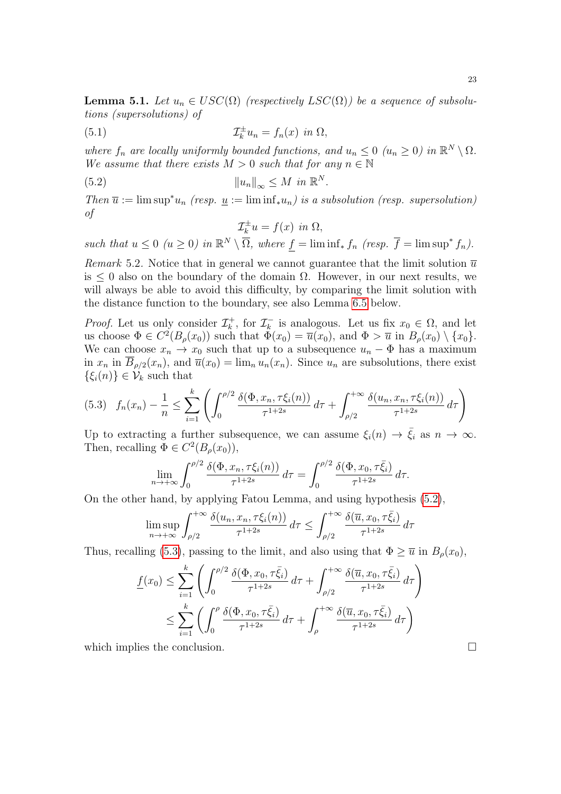<span id="page-22-2"></span>**Lemma 5.1.** Let  $u_n \in USC(\Omega)$  (respectively  $LSC(\Omega)$ ) be a sequence of subsolutions (supersolutions) of

(5.1) 
$$
\mathcal{I}_k^{\pm} u_n = f_n(x) \text{ in } \Omega,
$$

where  $f_n$  are locally uniformly bounded functions, and  $u_n \leq 0$   $(u_n \geq 0)$  in  $\mathbb{R}^N \setminus \Omega$ . We assume that there exists  $M > 0$  such that for any  $n \in \mathbb{N}$ 

(5.2) 
$$
||u_n||_{\infty} \leq M \text{ in } \mathbb{R}^N.
$$

Then  $\overline{u} := \limsup^* u_n$  (resp.  $\underline{u} := \liminf_* u_n$ ) is a subsolution (resp. supersolution) of

<span id="page-22-0"></span>
$$
\mathcal{I}_k^{\pm}u = f(x) \text{ in } \Omega,
$$

such that  $u \leq 0$   $(u \geq 0)$  in  $\mathbb{R}^N \setminus \overline{\Omega}$ , where  $f = \liminf_* f_n$  (resp.  $\overline{f} = \limsup^* f_n$ ).

Remark 5.2. Notice that in general we cannot guarantee that the limit solution  $\overline{u}$ is  $\leq 0$  also on the boundary of the domain  $\Omega$ . However, in our next results, we will always be able to avoid this difficulty, by comparing the limit solution with the distance function to the boundary, see also Lemma [6.5](#page-29-0) below.

*Proof.* Let us only consider  $\mathcal{I}_{k}^{+}$  $\mathcal{I}_k^+$ , for  $\mathcal{I}_k^ \overline{k}_{k}$  is analogous. Let us fix  $x_0 \in \Omega$ , and let us choose  $\Phi \in C^2(B_\rho(x_0))$  such that  $\Phi(x_0) = \overline{u}(x_0)$ , and  $\Phi > \overline{u}$  in  $B_\rho(x_0) \setminus \{x_0\}$ . We can choose  $x_n \to x_0$  such that up to a subsequence  $u_n - \Phi$  has a maximum in  $x_n$  in  $B_{\rho/2}(x_n)$ , and  $\overline{u}(x_0) = \lim_n u_n(x_n)$ . Since  $u_n$  are subsolutions, there exist  $\{\xi_i(n)\}\in\mathcal{V}_k$  such that

<span id="page-22-1"></span>
$$
(5.3) \quad f_n(x_n) - \frac{1}{n} \le \sum_{i=1}^k \left( \int_0^{\rho/2} \frac{\delta(\Phi, x_n, \tau \xi_i(n))}{\tau^{1+2s}} d\tau + \int_{\rho/2}^{+\infty} \frac{\delta(u_n, x_n, \tau \xi_i(n))}{\tau^{1+2s}} d\tau \right)
$$

Up to extracting a further subsequence, we can assume  $\xi_i(n) \to \overline{\xi}_i$  as  $n \to \infty$ . Then, recalling  $\Phi \in C^2(B_\rho(x_0)),$ 

$$
\lim_{n\to+\infty}\int_0^{\rho/2}\frac{\delta(\Phi,x_n,\tau\xi_i(n))}{\tau^{1+2s}}\,d\tau=\int_0^{\rho/2}\frac{\delta(\Phi,x_0,\tau\bar{\xi}_i)}{\tau^{1+2s}}\,d\tau.
$$

On the other hand, by applying Fatou Lemma, and using hypothesis [\(5.2\)](#page-22-0),

$$
\limsup_{n \to +\infty} \int_{\rho/2}^{+\infty} \frac{\delta(u_n, x_n, \tau \xi_i(n))}{\tau^{1+2s}} d\tau \le \int_{\rho/2}^{+\infty} \frac{\delta(\overline{u}, x_0, \tau \overline{\xi_i})}{\tau^{1+2s}} d\tau
$$

Thus, recalling [\(5.3\)](#page-22-1), passing to the limit, and also using that  $\Phi \geq \overline{u}$  in  $B_{\rho}(x_0)$ ,

$$
\underline{f}(x_0) \leq \sum_{i=1}^k \left( \int_0^{\rho/2} \frac{\delta(\Phi, x_0, \tau \bar{\xi}_i)}{\tau^{1+2s}} d\tau + \int_{\rho/2}^{+\infty} \frac{\delta(\overline{u}, x_0, \tau \bar{\xi}_i)}{\tau^{1+2s}} d\tau \right)
$$
\n
$$
\leq \sum_{i=1}^k \left( \int_0^{\rho} \frac{\delta(\Phi, x_0, \tau \bar{\xi}_i)}{\tau^{1+2s}} d\tau + \int_{\rho}^{+\infty} \frac{\delta(\overline{u}, x_0, \tau \bar{\xi}_i)}{\tau^{1+2s}} d\tau \right)
$$

which implies the conclusion.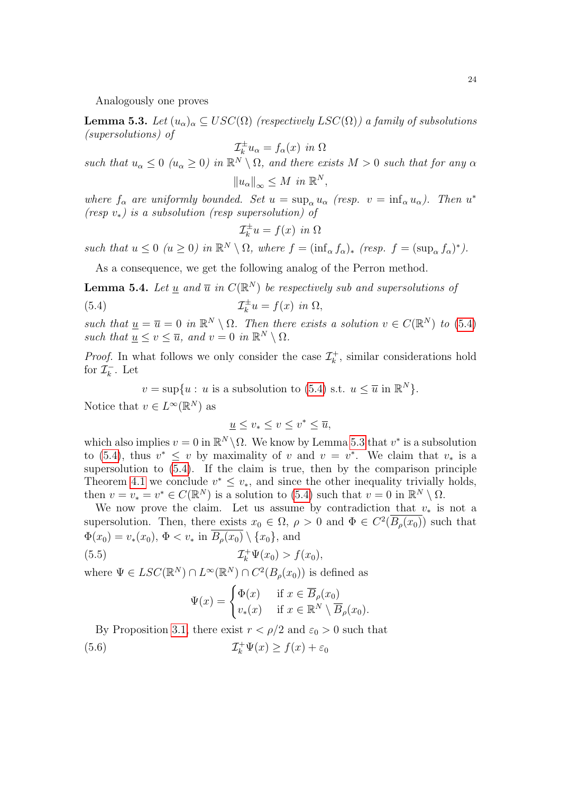Analogously one proves

<span id="page-23-1"></span>**Lemma 5.3.** Let  $(u_{\alpha})_{\alpha} \subseteq USC(\Omega)$  (respectively  $LSC(\Omega)$ ) a family of subsolutions (supersolutions) of

$$
\mathcal{I}_k^{\pm} u_{\alpha} = f_{\alpha}(x) \text{ in } \Omega
$$

such that  $u_{\alpha} \leq 0$   $(u_{\alpha} \geq 0)$  in  $\mathbb{R}^N \setminus \Omega$ , and there exists  $M > 0$  such that for any  $\alpha$  $||u_{\alpha}||_{\infty} \leq M$  in  $\mathbb{R}^{N}$ ,

where  $f_{\alpha}$  are uniformly bounded. Set  $u = \sup_{\alpha} u_{\alpha}$  (resp.  $v = \inf_{\alpha} u_{\alpha}$ ). Then  $u^*$ (resp  $v_*$ ) is a subsolution (resp supersolution) of

<span id="page-23-0"></span>
$$
\mathcal{I}_k^{\pm}u = f(x) \text{ in } \Omega
$$

such that  $u \leq 0$   $(u \geq 0)$  in  $\mathbb{R}^N \setminus \Omega$ , where  $f = (\inf_{\alpha} f_{\alpha})^*$ ,  $(r \in \Omega, f \in \mathbb{R}^N)$ .

As a consequence, we get the following analog of the Perron method.

<span id="page-23-3"></span>**Lemma 5.4.** Let <u>u</u> and  $\overline{u}$  in  $C(\mathbb{R}^N)$  be respectively sub and supersolutions of  $(5.4)$ ±  $\overline{f}_k^{\pm}u = f(x)$  in  $\Omega$ ,

such that  $\underline{u} = \overline{u} = 0$  in  $\mathbb{R}^N \setminus \Omega$ . Then there exists a solution  $v \in C(\mathbb{R}^N)$  to [\(5.4\)](#page-23-0) such that  $u \leq v \leq \overline{u}$ , and  $v = 0$  in  $\mathbb{R}^N \setminus \Omega$ .

*Proof.* In what follows we only consider the case  $\mathcal{I}_{k}^{+}$  $\bar{k}$ , similar considerations hold for  $\mathcal{I}_k^ \bar{k}$ . Let

 $v = \sup\{u : u \text{ is a subsolution to } (5.4) \text{ s.t. } u \leq \overline{u} \text{ in } \mathbb{R}^N\}.$  $v = \sup\{u : u \text{ is a subsolution to } (5.4) \text{ s.t. } u \leq \overline{u} \text{ in } \mathbb{R}^N\}.$  $v = \sup\{u : u \text{ is a subsolution to } (5.4) \text{ s.t. } u \leq \overline{u} \text{ in } \mathbb{R}^N\}.$ 

Notice that  $v \in L^{\infty}(\mathbb{R}^N)$  as

$$
\underline{u} \le v_* \le v \le v^* \le \overline{u},
$$

which also implies  $v = 0$  in  $\mathbb{R}^N \setminus \Omega$ . We know by Lemma [5.3](#page-23-1) that  $v^*$  is a subsolution to [\(5.4\)](#page-23-0), thus  $v^* \leq v$  by maximality of v and  $v = v^*$ . We claim that  $v_*$  is a supersolution to [\(5.4\)](#page-23-0). If the claim is true, then by the comparison principle Theorem [4.1](#page-11-5) we conclude  $v^* \leq v_*$ , and since the other inequality trivially holds, then  $v = v_* = v^* \in C(\mathbb{R}^N)$  is a solution to [\(5.4\)](#page-23-0) such that  $v = 0$  in  $\mathbb{R}^N \setminus \Omega$ .

We now prove the claim. Let us assume by contradiction that  $v_*$  is not a supersolution. Then, there exists  $x_0 \in \Omega$ ,  $\rho > 0$  and  $\Phi \in C^2(\overline{B_\rho(x_0)})$  such that  $\Phi(x_0) = v_*(x_0), \Phi \lt v_*$  in  $\overline{B_\rho(x_0)} \setminus \{x_0\}$ , and

(5.5) I + <sup>k</sup> Ψ(x0) > f(x0),

where  $\Psi \in LSC(\mathbb{R}^N) \cap L^{\infty}(\mathbb{R}^N) \cap C^2(B_{\rho}(x_0))$  is defined as

<span id="page-23-2"></span>
$$
\Psi(x) = \begin{cases} \Phi(x) & \text{if } x \in \overline{B}_{\rho}(x_0) \\ v_*(x) & \text{if } x \in \mathbb{R}^N \setminus \overline{B}_{\rho}(x_0). \end{cases}
$$

By Proposition [3.1,](#page-10-0) there exist  $r < \rho/2$  and  $\varepsilon_0 > 0$  such that  $(5.6)$  $f_k^+ \Psi(x) \geq f(x) + \varepsilon_0$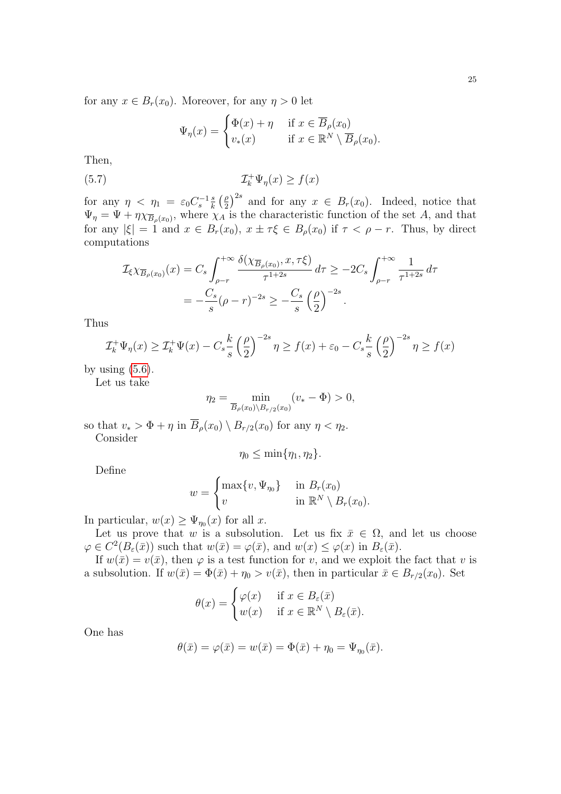for any  $x \in B_r(x_0)$ . Moreover, for any  $\eta > 0$  let

<span id="page-24-0"></span>
$$
\Psi_{\eta}(x) = \begin{cases} \Phi(x) + \eta & \text{if } x \in \overline{B}_{\rho}(x_0) \\ v_*(x) & \text{if } x \in \mathbb{R}^N \setminus \overline{B}_{\rho}(x_0). \end{cases}
$$

Then,

(5.7) 
$$
\mathcal{I}_k^+ \Psi_\eta(x) \ge f(x)
$$

for any  $\eta$  <  $\eta_1 = \varepsilon_0 C_s^{-1} \frac{s}{k}$  $\frac{s}{k}$   $\left(\frac{\rho}{2}\right)$  $\left(\frac{\rho}{2}\right)^{2s}$  and for any  $x \in B_r(x_0)$ . Indeed, notice that  $\Psi_{\eta} = \Psi + \eta \chi_{\overline{B}_{\rho}(x_0)},$  where  $\chi_A$  is the characteristic function of the set A, and that for any  $|\xi| = 1$  and  $x \in B_r(x_0)$ ,  $x \pm \tau \xi \in B_\rho(x_0)$  if  $\tau < \rho - r$ . Thus, by direct computations

$$
\mathcal{I}_{\xi} \chi_{\overline{B}_{\rho}(x_0)}(x) = C_s \int_{\rho-r}^{+\infty} \frac{\delta(\chi_{\overline{B}_{\rho}(x_0)}, x, \tau \xi)}{\tau^{1+2s}} d\tau \ge -2C_s \int_{\rho-r}^{+\infty} \frac{1}{\tau^{1+2s}} d\tau \n= -\frac{C_s}{s} (\rho-r)^{-2s} \ge -\frac{C_s}{s} (\frac{\rho}{2})^{-2s}.
$$

Thus

$$
\mathcal{I}_k^+ \Psi_\eta(x) \ge \mathcal{I}_k^+ \Psi(x) - C_s \frac{k}{s} \left(\frac{\rho}{2}\right)^{-2s} \eta \ge f(x) + \varepsilon_0 - C_s \frac{k}{s} \left(\frac{\rho}{2}\right)^{-2s} \eta \ge f(x)
$$

by using  $(5.6)$ .

Let us take

$$
\eta_2 = \min_{\overline{B}_{\rho}(x_0) \setminus B_{r/2}(x_0)} (v_* - \Phi) > 0,
$$

so that  $v_* > \Phi + \eta$  in  $\overline{B}_\rho(x_0) \setminus B_{r/2}(x_0)$  for any  $\eta < \eta_2$ . Consider

$$
\eta_0 \leq \min\{\eta_1, \eta_2\}.
$$

Define

$$
w = \begin{cases} \max\{v, \Psi_{\eta_0}\} & \text{in } B_r(x_0) \\ v & \text{in } \mathbb{R}^N \setminus B_r(x_0). \end{cases}
$$

In particular,  $w(x) \geq \Psi_{\eta_0}(x)$  for all x.

Let us prove that w is a subsolution. Let us fix  $\bar{x} \in \Omega$ , and let us choose  $\varphi \in C^2(B_\varepsilon(\bar x))$  such that  $w(\bar x) = \varphi(\bar x)$ , and  $w(x) \leq \varphi(x)$  in  $B_\varepsilon(\bar x)$ .

If  $w(\overline{x}) = v(\overline{x})$ , then  $\varphi$  is a test function for v, and we exploit the fact that v is a subsolution. If  $w(\bar{x}) = \Phi(\bar{x}) + \eta_0 > v(\bar{x})$ , then in particular  $\bar{x} \in B_{r/2}(x_0)$ . Set

$$
\theta(x) = \begin{cases} \varphi(x) & \text{if } x \in B_{\varepsilon}(\bar{x}) \\ w(x) & \text{if } x \in \mathbb{R}^N \setminus B_{\varepsilon}(\bar{x}). \end{cases}
$$

One has

$$
\theta(\bar{x}) = \varphi(\bar{x}) = w(\bar{x}) = \Phi(\bar{x}) + \eta_0 = \Psi_{\eta_0}(\bar{x}).
$$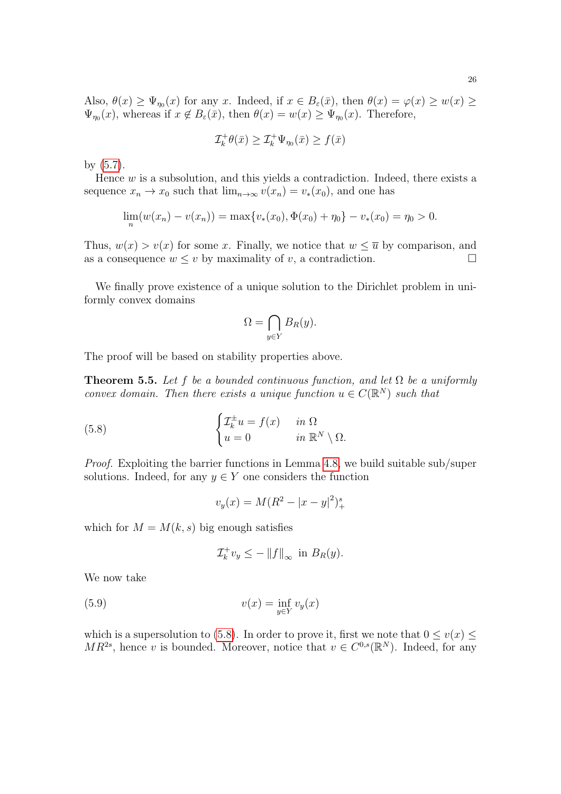Also,  $\theta(x) \ge \Psi_{\eta_0}(x)$  for any x. Indeed, if  $x \in B_{\varepsilon}(\bar{x})$ , then  $\theta(x) = \varphi(x) \ge w(x) \ge$  $\Psi_{\eta_0}(x)$ , whereas if  $x \notin B_{\varepsilon}(\bar{x})$ , then  $\theta(x) = w(x) \ge \Psi_{\eta_0}(x)$ . Therefore,

$$
\mathcal{I}_{k}^{+}\theta(\bar{x})\geq \mathcal{I}_{k}^{+}\Psi_{\eta_{0}}(\bar{x})\geq f(\bar{x})
$$

by [\(5.7\)](#page-24-0).

Hence  $w$  is a subsolution, and this yields a contradiction. Indeed, there exists a sequence  $x_n \to x_0$  such that  $\lim_{n\to\infty} v(x_n) = v_*(x_0)$ , and one has

$$
\lim_{n}(w(x_n) - v(x_n)) = \max\{v_*(x_0), \Phi(x_0) + \eta_0\} - v_*(x_0) = \eta_0 > 0.
$$

Thus,  $w(x) > v(x)$  for some x. Finally, we notice that  $w \leq \overline{u}$  by comparison, and as a consequence  $w \leq v$  by maximality of v, a contradiction.

We finally prove existence of a unique solution to the Dirichlet problem in uniformly convex domains

$$
\Omega = \bigcap_{y \in Y} B_R(y).
$$

The proof will be based on stability properties above.

<span id="page-25-2"></span>**Theorem 5.5.** Let f be a bounded continuous function, and let  $\Omega$  be a uniformly convex domain. Then there exists a unique function  $u \in C(\mathbb{R}^N)$  such that

(5.8) 
$$
\begin{cases} \mathcal{I}_k^{\pm} u = f(x) & \text{in } \Omega \\ u = 0 & \text{in } \mathbb{R}^N \setminus \Omega. \end{cases}
$$

Proof. Exploiting the barrier functions in Lemma [4.8,](#page-17-1) we build suitable sub/super solutions. Indeed, for any  $y \in Y$  one considers the function

<span id="page-25-0"></span>
$$
v_y(x) = M(R^2 - |x - y|^2)_+^s
$$

which for  $M = M(k, s)$  big enough satisfies

<span id="page-25-1"></span>
$$
\mathcal{I}_k^+ v_y \le -\|f\|_{\infty} \text{ in } B_R(y).
$$

We now take

(5.9) 
$$
v(x) = \inf_{y \in Y} v_y(x)
$$

which is a supersolution to [\(5.8\)](#page-25-0). In order to prove it, first we note that  $0 \le v(x) \le$  $MR^{2s}$ , hence v is bounded. Moreover, notice that  $v \in C^{0,s}(\mathbb{R}^N)$ . Indeed, for any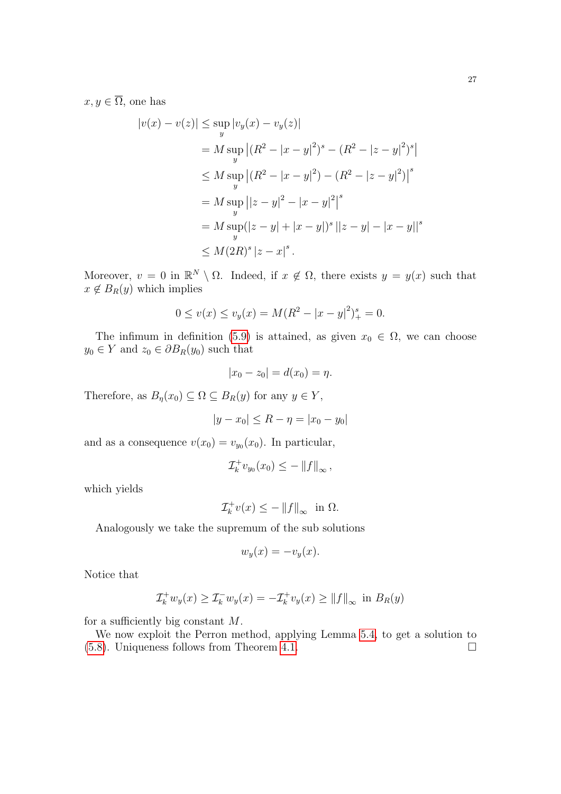$x, y \in \overline{\Omega}$ , one has

$$
|v(x) - v(z)| \le \sup_{y} |v_y(x) - v_y(z)|
$$
  
=  $M \sup_{y} |(R^2 - |x - y|^2)^s - (R^2 - |z - y|^2)^s|$   
 $\le M \sup_{y} |(R^2 - |x - y|^2) - (R^2 - |z - y|^2)|^s$   
=  $M \sup_{y} ||z - y|^2 - |x - y|^2|^s$   
=  $M \sup_{y} (|z - y| + |x - y|)^s ||z - y| - |x - y||^s$   
 $\le M(2R)^s |z - x|^s.$ 

Moreover,  $v = 0$  in  $\mathbb{R}^N \setminus \Omega$ . Indeed, if  $x \notin \Omega$ , there exists  $y = y(x)$  such that  $x \notin B_R(y)$  which implies

$$
0 \le v(x) \le v_y(x) = M(R^2 - |x - y|^2)^{s}_{+} = 0.
$$

The infimum in definition [\(5.9\)](#page-25-1) is attained, as given  $x_0 \in \Omega$ , we can choose  $y_0 \in Y$  and  $z_0 \in \partial B_R(y_0)$  such that

$$
|x_0 - z_0| = d(x_0) = \eta.
$$

Therefore, as  $B_n(x_0) \subseteq \Omega \subseteq B_R(y)$  for any  $y \in Y$ ,

$$
|y - x_0| \le R - \eta = |x_0 - y_0|
$$

and as a consequence  $v(x_0) = v_{y_0}(x_0)$ . In particular,

$$
\mathcal{I}_k^+ v_{y_0}(x_0) \le - \left\| f \right\|_{\infty},
$$

which yields

$$
\mathcal{I}_k^+ v(x) \le -\|f\|_\infty \text{ in } \Omega.
$$

Analogously we take the supremum of the sub solutions

$$
w_y(x) = -v_y(x).
$$

Notice that

$$
\mathcal{I}_k^+ w_y(x) \ge \mathcal{I}_k^- w_y(x) = -\mathcal{I}_k^+ v_y(x) \ge ||f||_{\infty} \text{ in } B_R(y)
$$

for a sufficiently big constant  $M$ .

We now exploit the Perron method, applying Lemma [5.4,](#page-23-3) to get a solution to  $(5.8)$ . Uniqueness follows from Theorem [4.1.](#page-11-5)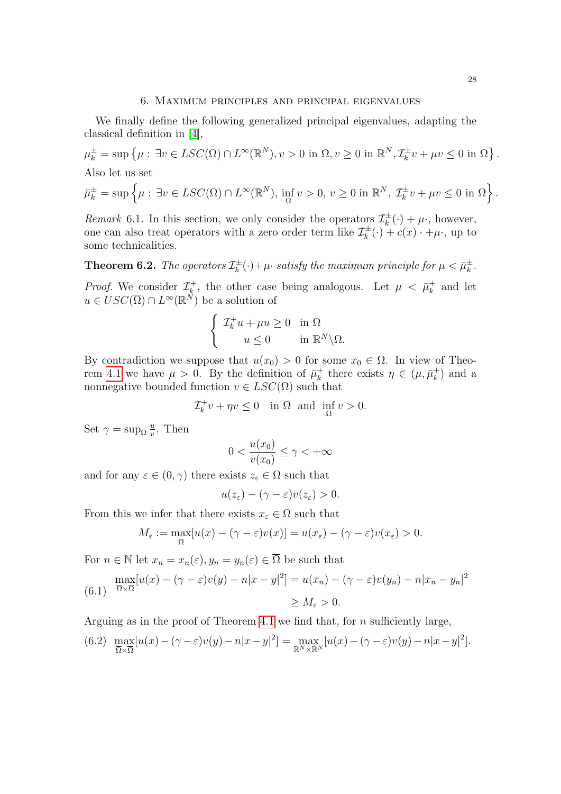#### 6. Maximum principles and principal eigenvalues

<span id="page-27-0"></span>We finally define the following generalized principal eigenvalues, adapting the classical definition in [\[4\]](#page-40-3),

$$
\mu_k^{\pm} = \sup \left\{ \mu : \exists v \in LSC(\Omega) \cap L^{\infty}(\mathbb{R}^N), v > 0 \text{ in } \Omega, v \ge 0 \text{ in } \mathbb{R}^N, \mathcal{I}_k^{\pm} v + \mu v \le 0 \text{ in } \Omega \right\}.
$$
  
Also let us set  

$$
\bar{\mu}_k^{\pm} = \sup \left\{ \mu : \exists v \in LSC(\Omega) \cap L^{\infty}(\mathbb{R}^N), \inf_{\Omega} v > 0, v \ge 0 \text{ in } \mathbb{R}^N, \mathcal{I}_k^{\pm} v + \mu v \le 0 \text{ in } \Omega \right\}.
$$

Remark 6.1. In this section, we only consider the operators  $\mathcal{I}_k^{\pm}$  $\tau_k^{\pm}(\cdot) + \mu$ , however, one can also treat operators with a zero order term like  $\mathcal{I}_{k}^{\pm}$  $\tau_k^{\pm}(\cdot) + c(x) \cdot + \mu \cdot$ , up to some technicalities.

<span id="page-27-3"></span>**Theorem 6.2.** The operators  $\mathcal{I}_{k}^{\pm}$  $\bar{y}_{k}^{\pm}(\cdot)+\mu\cdot$  satisfy the maximum principle for  $\mu<\bar{\mu}_{k}^{\pm}$  $\frac{\pm}{k}$ . *Proof.* We consider  $\mathcal{I}_{k}^{+}$ <sup>+</sup><sub>k</sub>, the other case being analogous. Let  $\mu \leq \bar{\mu}_k^+$  $k \atop k$  and let  $u \in USC(\overline{\Omega}) \cap L^{\infty}(\mathbb{R}^N)$  be a solution of

$$
\begin{cases} \mathcal{I}_k^+ u + \mu u \ge 0 & \text{in } \Omega \\ u \le 0 & \text{in } \mathbb{R}^N \backslash \Omega. \end{cases}
$$

By contradiction we suppose that  $u(x_0) > 0$  for some  $x_0 \in \Omega$ . In view of Theo-rem [4.1](#page-11-5) we have  $\mu > 0$ . By the definition of  $\bar{\mu}_k^+$  $\frac{1}{k}$  there exists  $\eta \in (\mu, \bar{\mu}_k^+)$  $\binom{+}{k}$  and a nonnegative bounded function  $v \in LSC(\Omega)$  such that

$$
\mathcal{I}_k^+ v + \eta v \le 0 \quad \text{in } \Omega \text{ and } \inf_{\Omega} v > 0.
$$

Set  $\gamma = \sup_{\Omega} \frac{u}{v}$  $\frac{u}{v}$ . Then

$$
0 < \frac{u(x_0)}{v(x_0)} \le \gamma < +\infty
$$

and for any  $\varepsilon \in (0, \gamma)$  there exists  $z_{\varepsilon} \in \Omega$  such that

$$
u(z_{\varepsilon}) - (\gamma - \varepsilon)v(z_{\varepsilon}) > 0.
$$

From this we infer that there exists  $x_{\varepsilon} \in \Omega$  such that

$$
M_{\varepsilon} := \max_{\overline{\Omega}} [u(x) - (\gamma - \varepsilon)v(x)] = u(x_{\varepsilon}) - (\gamma - \varepsilon)v(x_{\varepsilon}) > 0.
$$

For  $n \in \mathbb{N}$  let  $x_n = x_n(\varepsilon)$ ,  $y_n = y_n(\varepsilon) \in \overline{\Omega}$  be such that

<span id="page-27-1"></span>
$$
\max_{\overline{\Omega}\times\overline{\Omega}}[u(x) - (\gamma - \varepsilon)v(y) - n|x - y|^2] = u(x_n) - (\gamma - \varepsilon)v(y_n) - n|x_n - y_n|^2
$$
  
\n
$$
\geq M_{\varepsilon} > 0.
$$

Arguing as in the proof of Theorem [4.1](#page-11-5) we find that, for  $n$  sufficiently large,

<span id="page-27-2"></span>(6.2) 
$$
\max_{\overline{\Omega}\times\overline{\Omega}}[u(x)-(\gamma-\varepsilon)v(y)-n|x-y|^2] = \max_{\mathbb{R}^N\times\mathbb{R}^N}[u(x)-(\gamma-\varepsilon)v(y)-n|x-y|^2].
$$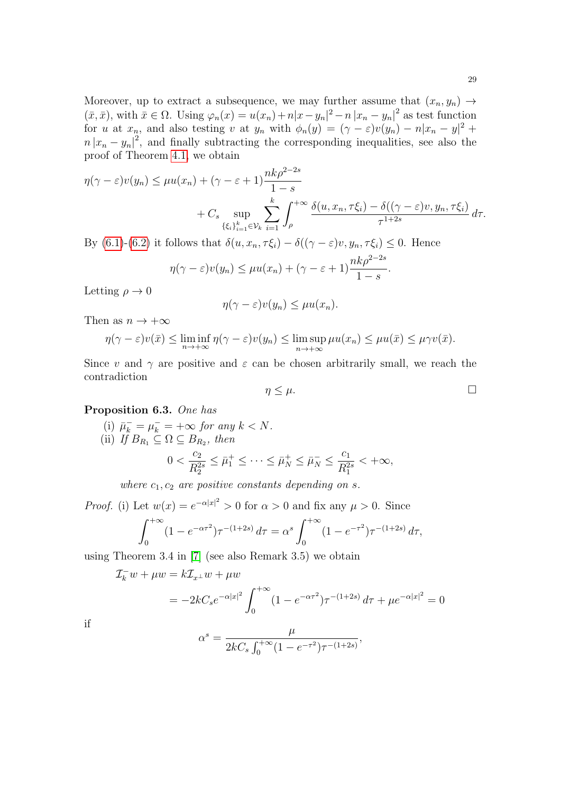Moreover, up to extract a subsequence, we may further assume that  $(x_n, y_n) \rightarrow$  $(\bar{x}, \bar{x})$ , with  $\bar{x} \in \Omega$ . Using  $\varphi_n(x) = u(x_n) + n|x - y_n|^2 - n|x_n - y_n|^2$  as test function for u at  $x_n$ , and also testing v at  $y_n$  with  $\phi_n(y) = (\gamma - \varepsilon)v(y_n) - n|x_n - y|^2 +$  $n |x_n - y_n|^2$ , and finally subtracting the corresponding inequalities, see also the proof of Theorem [4.1,](#page-11-5) we obtain

$$
\eta(\gamma - \varepsilon)v(y_n) \le \mu u(x_n) + (\gamma - \varepsilon + 1) \frac{nk\rho^{2-2s}}{1-s}
$$
  
+  $C_s \sup_{\{\xi_i\}_{i=1}^k \in \mathcal{V}_k} \sum_{i=1}^k \int_{\rho}^{+\infty} \frac{\delta(u, x_n, \tau \xi_i) - \delta((\gamma - \varepsilon)v, y_n, \tau \xi_i)}{\tau^{1+2s}} d\tau.$ 

By [\(6.1\)](#page-27-1)-[\(6.2\)](#page-27-2) it follows that  $\delta(u, x_n, \tau \xi_i) - \delta((\gamma - \varepsilon)v, y_n, \tau \xi_i) \leq 0$ . Hence

$$
\eta(\gamma - \varepsilon)v(y_n) \le \mu u(x_n) + (\gamma - \varepsilon + 1)\frac{nk\rho^{2-2s}}{1-s}.
$$

Letting  $\rho \to 0$ 

$$
\eta(\gamma - \varepsilon)v(y_n) \le \mu u(x_n).
$$

Then as  $n \to +\infty$ 

$$
\eta(\gamma - \varepsilon)v(\bar{x}) \le \liminf_{n \to +\infty} \eta(\gamma - \varepsilon)v(y_n) \le \limsup_{n \to +\infty} \mu u(x_n) \le \mu u(\bar{x}) \le \mu \gamma v(\bar{x}).
$$

Since v and  $\gamma$  are positive and  $\varepsilon$  can be chosen arbitrarily small, we reach the contradiction

$$
\eta \leq \mu. \qquad \qquad \Box
$$

# <span id="page-28-0"></span>Proposition 6.3. One has

(i) 
$$
\overline{\mu}_k^- = \mu_k^- = +\infty
$$
 for any  $k < N$ .  
\n(ii) If  $B_{R_1} \subseteq \Omega \subseteq B_{R_2}$ , then  
\n
$$
0 < \frac{c_2}{R_2^{2s}} \le \overline{\mu}_1^+ \le \cdots \le \overline{\mu}_N^+ \le \overline{\mu}_N^- \le \frac{c_1}{R_1^{2s}} < +\infty,
$$

where  $c_1, c_2$  are positive constants depending on s.

*Proof.* (i) Let  $w(x) = e^{-\alpha |x|^2} > 0$  for  $\alpha > 0$  and fix any  $\mu > 0$ . Since

$$
\int_0^{+\infty} (1 - e^{-\alpha \tau^2}) \tau^{-(1+2s)} d\tau = \alpha^s \int_0^{+\infty} (1 - e^{-\tau^2}) \tau^{-(1+2s)} d\tau,
$$

using Theorem 3.4 in [\[7\]](#page-40-0) (see also Remark 3.5) we obtain

$$
\mathcal{I}_k^- w + \mu w = k \mathcal{I}_{x^{\perp}} w + \mu w
$$
  
=  $-2kC_s e^{-\alpha |x|^2} \int_0^{+\infty} (1 - e^{-\alpha \tau^2}) \tau^{-(1+2s)} d\tau + \mu e^{-\alpha |x|^2} = 0$ 

if

$$
\alpha^s = \frac{\mu}{2kC_s \int_0^{+\infty} (1 - e^{-\tau^2}) \tau^{-(1+2s)}},
$$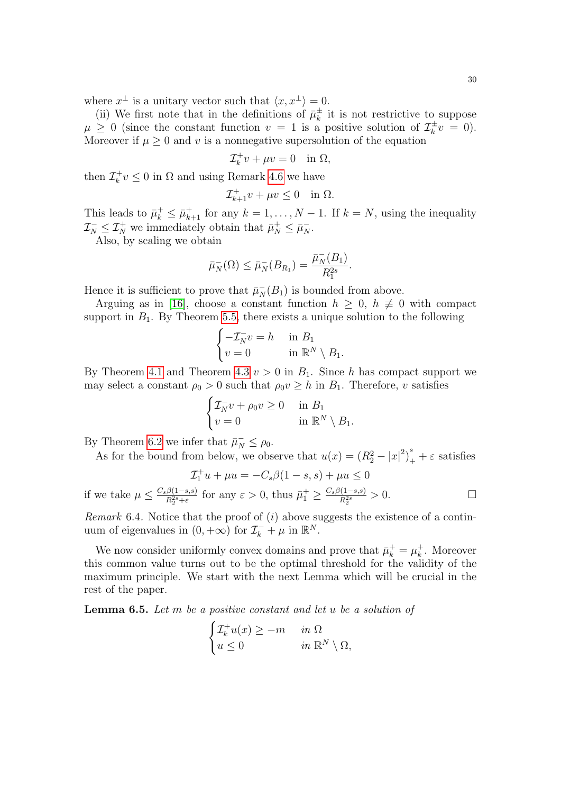where  $x^{\perp}$  is a unitary vector such that  $\langle x, x^{\perp} \rangle = 0$ .

(ii) We first note that in the definitions of  $\bar{\mu}_k^{\pm}$  $\frac{1}{k}$  it is not restrictive to suppose  $\mu \geq 0$  (since the constant function  $v = 1$  is a positive solution of  $\mathcal{I}_{k}^{\pm}$  $t_{k}^{\pm}v = 0$ ). Moreover if  $\mu \geq 0$  and v is a nonnegative supersolution of the equation

$$
\mathcal{I}_k^+ v + \mu v = 0 \quad \text{in } \Omega,
$$

then  $\mathcal{I}_k^+$  $\chi_k^+ v \leq 0$  in  $\Omega$  and using Remark [4.6](#page-15-1) we have

$$
\mathcal{I}_{k+1}^+ v + \mu v \le 0 \quad \text{in } \Omega.
$$

This leads to  $\bar{\mu}_k^+ \leq \bar{\mu}_{k+1}^+$  for any  $k = 1, ..., N - 1$ . If  $k = N$ , using the inequality  $\mathcal{I}_N^- \leq \mathcal{I}_N^+$  we immediately obtain that  $\bar{\mu}_N^+ \leq \bar{\mu}_N^-$ .

Also, by scaling we obtain

$$
\bar{\mu}_N^-(\Omega) \le \bar{\mu}_N^-(B_{R_1}) = \frac{\bar{\mu}_N^-(B_1)}{R_1^{2s}}.
$$

Hence it is sufficient to prove that  $\bar{\mu}_N^-(B_1)$  is bounded from above.

Arguing as in [\[16\]](#page-41-5), choose a constant function  $h \geq 0$ ,  $h \not\equiv 0$  with compact support in  $B_1$ . By Theorem [5.5,](#page-25-2) there exists a unique solution to the following

$$
\begin{cases}\n-\mathcal{I}_N^- v = h & \text{in } B_1 \\
v = 0 & \text{in } \mathbb{R}^N \setminus B_1.\n\end{cases}
$$

By Theorem [4.1](#page-11-5) and Theorem [4.3](#page-14-0)  $v > 0$  in  $B_1$ . Since h has compact support we may select a constant  $\rho_0 > 0$  such that  $\rho_0 v \geq h$  in  $B_1$ . Therefore, v satisfies

$$
\begin{cases} \mathcal{I}_N^- v + \rho_0 v \ge 0 & \text{in } B_1 \\ v = 0 & \text{in } \mathbb{R}^N \setminus B_1. \end{cases}
$$

By Theorem [6.2](#page-27-3) we infer that  $\bar{\mu}_N^- \le \rho_0$ .

As for the bound from below, we observe that 
$$
u(x) = (R_2^2 - |x|^2)_+^s + \varepsilon
$$
 satisfies

$$
\mathcal{I}_1^+ u + \mu u = -C_s \beta (1 - s, s) + \mu u \le 0
$$
  
if we take  $\mu \le \frac{C_s \beta (1 - s, s)}{R_2^{2s} + \varepsilon}$  for any  $\varepsilon > 0$ , thus  $\bar{\mu}_1^+ \ge \frac{C_s \beta (1 - s, s)}{R_2^{2s}} > 0$ .

*Remark* 6.4. Notice that the proof of  $(i)$  above suggests the existence of a continuum of eigenvalues in  $(0, +\infty)$  for  $\mathcal{I}_k^- + \mu$  in  $\mathbb{R}^N$ .

We now consider uniformly convex domains and prove that  $\bar{\mu}_k^+ = \mu_k^+$  $\frac{1}{k}$ . Moreover this common value turns out to be the optimal threshold for the validity of the maximum principle. We start with the next Lemma which will be crucial in the rest of the paper.

<span id="page-29-0"></span>**Lemma 6.5.** Let  $m$  be a positive constant and let  $u$  be a solution of

$$
\begin{cases} \mathcal{I}_k^+ u(x) \ge -m & \text{in } \Omega \\ u \le 0 & \text{in } \mathbb{R}^N \setminus \Omega, \end{cases}
$$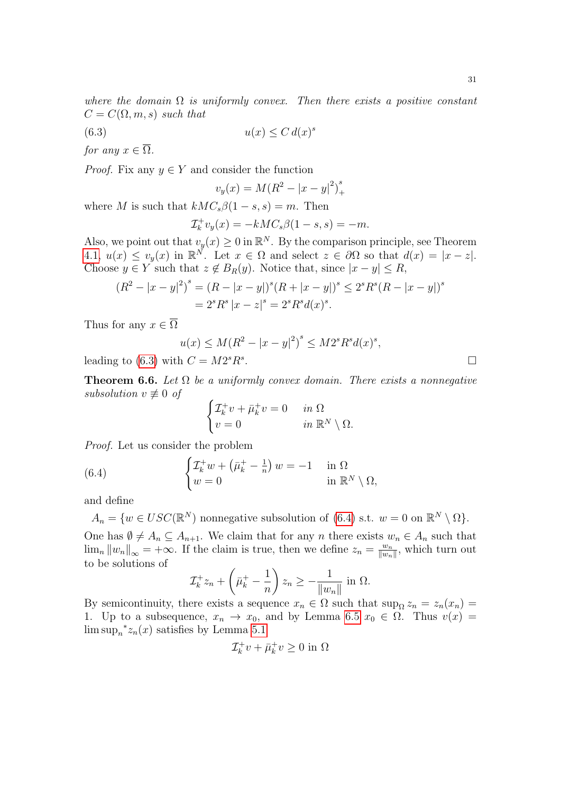where the domain  $\Omega$  is uniformly convex. Then there exists a positive constant  $C = C(\Omega, m, s)$  such that

$$
(6.3) \t\t u(x) \le C d(x)^s
$$

for any  $x \in \overline{\Omega}$ .

*Proof.* Fix any  $y \in Y$  and consider the function

<span id="page-30-0"></span>
$$
v_y(x) = M(R^2 - |x - y|^2)_+^s
$$

where M is such that  $kMC_s\beta(1-s,s)=m$ . Then

$$
\mathcal{I}_k^+ v_y(x) = -k M C_s \beta(1-s, s) = -m.
$$

Also, we point out that  $v_y(x) \geq 0$  in  $\mathbb{R}^N$ . By the comparison principle, see Theorem [4.1,](#page-11-5)  $u(x) \leq v_y(x)$  in  $\mathbb{R}^N$ . Let  $x \in \Omega$  and select  $z \in \partial \Omega$  so that  $d(x) = |x - z|$ . Choose  $y \in Y$  such that  $z \notin B_R(y)$ . Notice that, since  $|x - y| \leq R$ ,

$$
(R2 - |x - y|2)s = (R - |x - y|)s (R + |x - y|)s \le 2s Rs (R - |x - y|)s
$$
  
= 2<sup>s</sup> R<sup>s</sup> |x - z|<sup>s</sup> = 2<sup>s</sup> R<sup>s</sup> d(x)<sup>s</sup>.

Thus for any  $x \in \overline{\Omega}$ 

$$
u(x) \le M(R^2 - |x - y|^2)^s \le M2^s R^s d(x)^s,
$$
  
with  $C = M2^s R^s$ .

leading to  $(6.3)$  ${}^s R^s$ 

<span id="page-30-2"></span>**Theorem 6.6.** Let  $\Omega$  be a uniformly convex domain. There exists a nonnegative subsolution  $v \not\equiv 0$  of

<span id="page-30-1"></span>
$$
\begin{cases} \mathcal{I}_k^+ v + \bar{\mu}_k^+ v = 0 & \text{in } \Omega \\ v = 0 & \text{in } \mathbb{R}^N \setminus \Omega. \end{cases}
$$

Proof. Let us consider the problem

(6.4) 
$$
\begin{cases} \mathcal{I}_k^+ w + (\bar{\mu}_k^+ - \frac{1}{n}) w = -1 & \text{in } \Omega \\ w = 0 & \text{in } \mathbb{R}^N \setminus \Omega, \end{cases}
$$

and define

 $A_n = \{w \in USC(\mathbb{R}^N) \text{ nonnegative subsolution of (6.4) s.t. } w = 0 \text{ on } \mathbb{R}^N \setminus \Omega \}.$  $A_n = \{w \in USC(\mathbb{R}^N) \text{ nonnegative subsolution of (6.4) s.t. } w = 0 \text{ on } \mathbb{R}^N \setminus \Omega \}.$  $A_n = \{w \in USC(\mathbb{R}^N) \text{ nonnegative subsolution of (6.4) s.t. } w = 0 \text{ on } \mathbb{R}^N \setminus \Omega \}.$ One has  $\emptyset \neq A_n \subseteq A_{n+1}$ . We claim that for any n there exists  $w_n \in A_n$  such that  $\lim_{n} \|w_{n}\|_{\infty} = +\infty$ . If the claim is true, then we define  $z_{n} = \frac{w_{n}}{\|w_{n}\|_{\infty}}$  $\frac{w_n}{\|w_n\|}$ , which turn out to be solutions of

$$
\mathcal{I}_k^+ z_n + \left(\bar{\mu}_k^+ - \frac{1}{n}\right) z_n \ge -\frac{1}{\|w_n\|} \text{ in } \Omega.
$$

By semicontinuity, there exists a sequence  $x_n \in \Omega$  such that  $\sup_{\Omega} z_n = z_n(x_n) =$ 1. Up to a subsequence,  $x_n \to x_0$ , and by Lemma [6.5](#page-29-0)  $x_0 \in \Omega$ . Thus  $v(x) =$  $\limsup_{n}^{\ast}z_{n}(x)$  satisfies by Lemma [5.1](#page-22-2)

$$
\mathcal{I}_k^+ v + \bar{\mu}_k^+ v \geq 0 \text{ in } \Omega
$$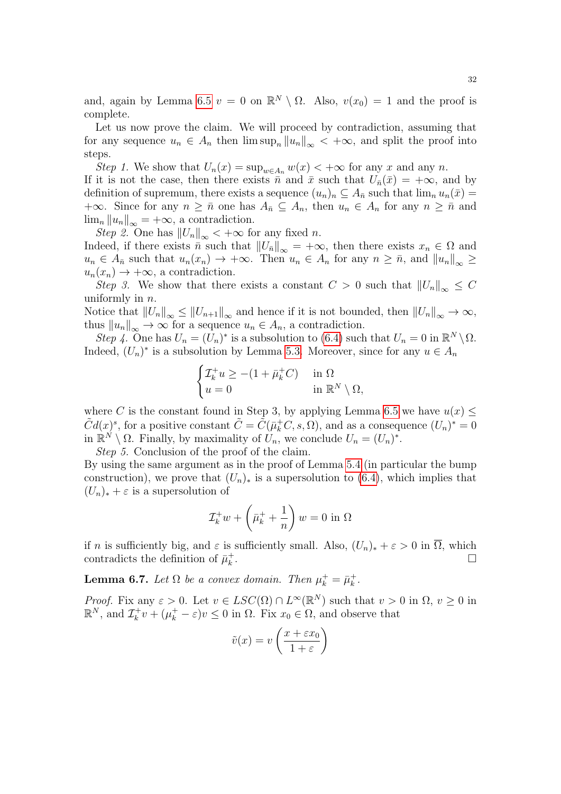and, again by Lemma [6.5](#page-29-0)  $v = 0$  on  $\mathbb{R}^N \setminus \Omega$ . Also,  $v(x_0) = 1$  and the proof is complete.

Let us now prove the claim. We will proceed by contradiction, assuming that for any sequence  $u_n \in A_n$  then  $\limsup_n ||u_n||_{\infty} < +\infty$ , and split the proof into steps.

Step 1. We show that  $U_n(x) = \sup_{w \in A_n} w(x) < +\infty$  for any x and any n.

If it is not the case, then there exists  $\bar{n}$  and  $\bar{x}$  such that  $U_{\bar{n}}(\bar{x}) = +\infty$ , and by definition of supremum, there exists a sequence  $(u_n)_n \subseteq A_{\bar{n}}$  such that  $\lim_n u_n(\bar{x}) =$ +∞. Since for any  $n \geq \bar{n}$  one has  $A_{\bar{n}} \subseteq A_n$ , then  $u_n \in A_n$  for any  $n \geq \bar{n}$  and  $\lim_{n} ||u_n||_{\infty} = +\infty$ , a contradiction.

Step 2. One has  $||U_n||_{\infty} < +\infty$  for any fixed n.

Indeed, if there exists  $\bar{n}$  such that  $||U_{\bar{n}}||_{\infty} = +\infty$ , then there exists  $x_n \in \Omega$  and  $u_n \in A_{\bar{n}}$  such that  $u_n(x_n) \to +\infty$ . Then  $u_n \in A_n$  for any  $n \geq \bar{n}$ , and  $||u_n||_{\infty} \geq$  $u_n(x_n) \to +\infty$ , a contradiction.

Step 3. We show that there exists a constant  $C > 0$  such that  $||U_n||_{\infty} \leq C$ uniformly in  $n$ .

Notice that  $||U_n||_{\infty} \leq ||U_{n+1}||_{\infty}$  and hence if it is not bounded, then  $||U_n||_{\infty} \to \infty$ , thus  $||u_n||_{\infty} \to \infty$  for a sequence  $u_n \in A_n$ , a contradiction.

Step 4. One has  $U_n = (U_n)^*$  is a subsolution to [\(6.4\)](#page-30-1) such that  $U_n = 0$  in  $\mathbb{R}^N \setminus \Omega$ . Indeed,  $(U_n)^*$  is a subsolution by Lemma [5.3.](#page-23-1) Moreover, since for any  $u \in A_n$ 

$$
\begin{cases} \mathcal{I}_k^+ u \ge -(1 + \bar{\mu}_k^+ C) & \text{in } \Omega \\ u = 0 & \text{in } \mathbb{R}^N \setminus \Omega, \end{cases}
$$

where C is the constant found in Step 3, by applying Lemma [6.5](#page-29-0) we have  $u(x) \leq$  $\tilde{C}d(x)^s$ , for a positive constant  $\tilde{C} = \tilde{C}(\bar{\mu}_k^+C, s, \Omega)$ , and as a consequence  $(U_n)^* = 0$ in  $\mathbb{R}^N \setminus \Omega$ . Finally, by maximality of  $\mathcal{U}_n$ , we conclude  $U_n = (U_n)^*$ .

Step 5. Conclusion of the proof of the claim.

By using the same argument as in the proof of Lemma [5.4](#page-23-3) (in particular the bump construction), we prove that  $(U_n)_*$  is a supersolution to [\(6.4\)](#page-30-1), which implies that  $(U_n)_* + \varepsilon$  is a supersolution of

$$
\mathcal{I}_k^+ w + \left(\bar{\mu}_k^+ + \frac{1}{n}\right) w = 0 \text{ in } \Omega
$$

if n is sufficiently big, and  $\varepsilon$  is sufficiently small. Also,  $(U_n)_* + \varepsilon > 0$  in  $\overline{\Omega}$ , which contradicts the definition of  $\bar{\mu}_k^+$ k . В последните при последните последните и при последните последните и при последните последните последните по<br>В последните последните последните последните последните последните последните последните последните последнит

<span id="page-31-0"></span>**Lemma 6.7.** Let  $\Omega$  be a convex domain. Then  $\mu_k^+ = \bar{\mu}_k^+$  $\frac{+}{k}$  .

*Proof.* Fix any  $\varepsilon > 0$ . Let  $v \in LSC(\Omega) \cap L^{\infty}(\mathbb{R}^N)$  such that  $v > 0$  in  $\Omega, v \ge 0$  in  $\mathbb{R}^N$ , and  $\mathcal{I}_k^+$  $\chi_k^+ v + (\mu_k^+ - \varepsilon)v \leq 0$  in  $\Omega$ . Fix  $x_0 \in \Omega$ , and observe that

$$
\tilde{v}(x) = v\left(\frac{x + \varepsilon x_0}{1 + \varepsilon}\right)
$$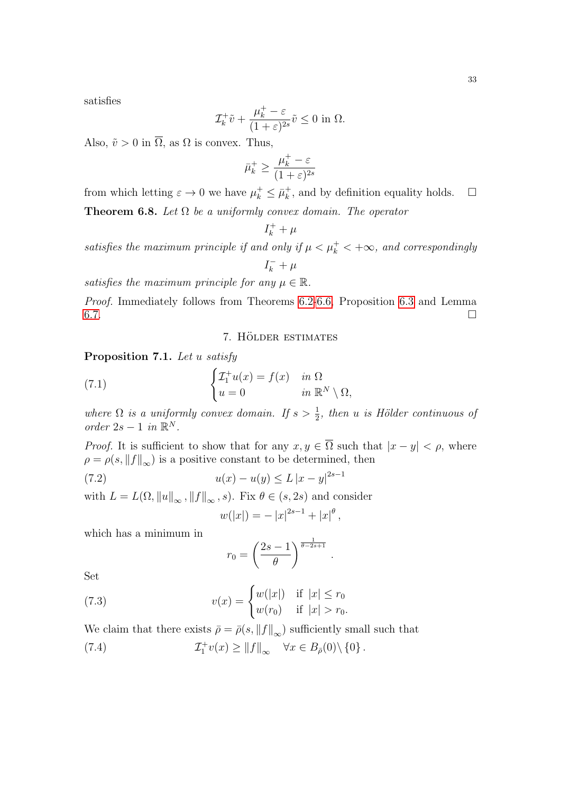satisfies

$$
\mathcal{I}_k^+ \tilde{v} + \frac{\mu_k^+ - \varepsilon}{(1 + \varepsilon)^{2s}} \tilde{v} \le 0 \text{ in } \Omega.
$$

Also,  $\tilde{v} > 0$  in  $\overline{\Omega}$ , as  $\Omega$  is convex. Thus,

$$
\bar{\mu}_k^+ \ge \frac{\mu_k^+ - \varepsilon}{(1 + \varepsilon)^{2s}}
$$

from which letting  $\varepsilon \to 0$  we have  $\mu_k^+ \leq \bar{\mu}_k^+$  $\frac{1}{k}$ , and by definition equality holds.  $\Box$ 

<span id="page-32-6"></span>**Theorem 6.8.** Let  $\Omega$  be a uniformly convex domain. The operator

 $I_k^+ + \mu$ 

satisfies the maximum principle if and only if  $\mu < \mu_k^+ < +\infty$ , and correspondingly

 $I_k^- + \mu$ 

satisfies the maximum principle for any  $\mu \in \mathbb{R}$ .

Proof. Immediately follows from Theorems [6.2](#page-27-3)[-6.6,](#page-30-2) Proposition [6.3](#page-28-0) and Lemma  $6.7.$ 

<span id="page-32-4"></span>7. HÖLDER ESTIMATES

<span id="page-32-3"></span><span id="page-32-0"></span>Proposition 7.1. Let u satisfy

(7.1) 
$$
\begin{cases} \mathcal{I}_1^+ u(x) = f(x) & \text{in } \Omega \\ u = 0 & \text{in } \mathbb{R}^N \setminus \Omega, \end{cases}
$$

where  $\Omega$  is a uniformly convex domain. If  $s > \frac{1}{2}$ , then u is Hölder continuous of order  $2s - 1$  in  $\mathbb{R}^N$ .

*Proof.* It is sufficient to show that for any  $x, y \in \overline{\Omega}$  such that  $|x - y| < \rho$ , where  $\rho = \rho(s, \|f\|_{\infty})$  is a positive constant to be determined, then

(7.2) 
$$
u(x) - u(y) \le L |x - y|^{2s - 1}
$$

with  $L = L(\Omega, ||u||_{\infty}, ||f||_{\infty}, s)$ . Fix  $\theta \in (s, 2s)$  and consider

<span id="page-32-2"></span>
$$
w(|x|) = -|x|^{2s-1} + |x|^\theta,
$$

which has a minimum in

<span id="page-32-5"></span><span id="page-32-1"></span>
$$
r_0 = \left(\frac{2s-1}{\theta}\right)^{\frac{1}{\theta-2s+1}}.
$$

Set

(7.3) 
$$
v(x) = \begin{cases} w(|x|) & \text{if } |x| \le r_0 \\ w(r_0) & \text{if } |x| > r_0. \end{cases}
$$

We claim that there exists  $\bar{\rho} = \bar{\rho}(s, ||f||_{\infty})$  sufficiently small such that

 $(7.4)$  $\Vert_1^+ v(x) \geq \Vert f \Vert_\infty \quad \forall x \in B_{\bar{\rho}}(0) \setminus \{0\}.$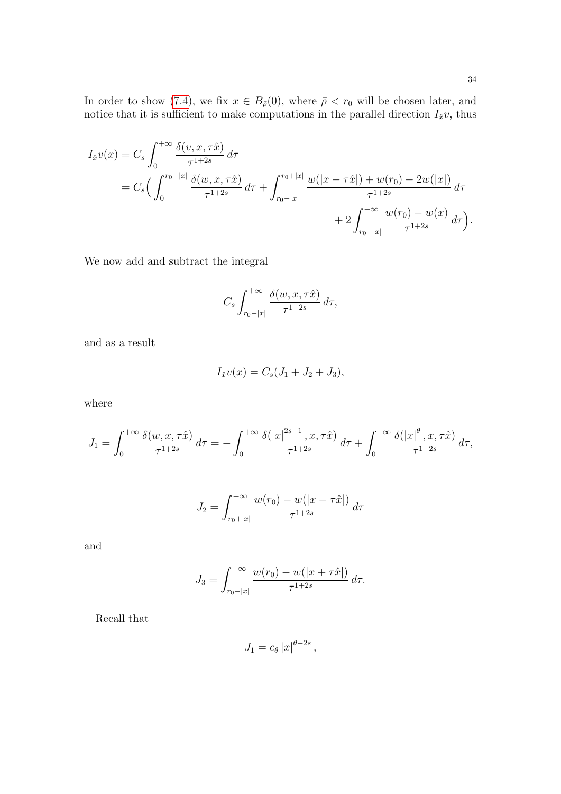In order to show [\(7.4\)](#page-32-1), we fix  $x \in B_{\bar{\rho}}(0)$ , where  $\bar{\rho} < r_0$  will be chosen later, and notice that it is sufficient to make computations in the parallel direction  $I_{\hat{x}}v$ , thus

$$
I_{\hat{x}}v(x) = C_s \int_0^{+\infty} \frac{\delta(v, x, \tau \hat{x})}{\tau^{1+2s}} d\tau
$$
  
=  $C_s \Big( \int_0^{r_0 - |x|} \frac{\delta(w, x, \tau \hat{x})}{\tau^{1+2s}} d\tau + \int_{r_0 - |x|}^{r_0 + |x|} \frac{w(|x - \tau \hat{x}|) + w(r_0) - 2w(|x|)}{\tau^{1+2s}} d\tau$   
+  $2 \int_{r_0 + |x|}^{+\infty} \frac{w(r_0) - w(x)}{\tau^{1+2s}} d\tau \Big).$ 

We now add and subtract the integral

$$
C_s \int_{r_0-|x|}^{+\infty} \frac{\delta(w, x, \tau \hat{x})}{\tau^{1+2s}} d\tau,
$$

and as a result

$$
I_{\hat{x}}v(x) = C_s(J_1 + J_2 + J_3),
$$

where

$$
J_1 = \int_0^{+\infty} \frac{\delta(w, x, \tau \hat{x})}{\tau^{1+2s}} d\tau = -\int_0^{+\infty} \frac{\delta(|x|^{2s-1}, x, \tau \hat{x})}{\tau^{1+2s}} d\tau + \int_0^{+\infty} \frac{\delta(|x|^{\theta}, x, \tau \hat{x})}{\tau^{1+2s}} d\tau,
$$

$$
J_2 = \int_{r_0+|x|}^{+\infty} \frac{w(r_0) - w(|x - \tau \hat{x}|)}{\tau^{1+2s}} d\tau
$$

and

$$
J_3 = \int_{r_0 - |x|}^{+\infty} \frac{w(r_0) - w(|x + \tau \hat{x}|)}{\tau^{1+2s}} d\tau.
$$

Recall that

$$
J_1 = c_{\theta} |x|^{\theta - 2s},
$$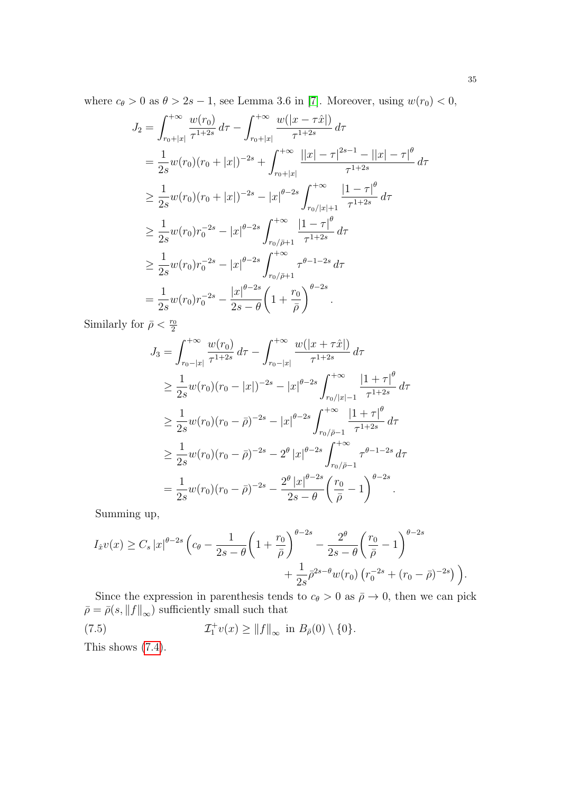where  $c_{\theta} > 0$  as  $\theta > 2s - 1$ , see Lemma 3.6 in [\[7\]](#page-40-0). Moreover, using  $w(r_0) < 0$ ,

$$
J_2 = \int_{r_0+|x|}^{+\infty} \frac{w(r_0)}{\tau^{1+2s}} d\tau - \int_{r_0+|x|}^{+\infty} \frac{w(|x-\tau \hat{x}|)}{\tau^{1+2s}} d\tau
$$
  
\n
$$
= \frac{1}{2s} w(r_0)(r_0+|x|)^{-2s} + \int_{r_0+|x|}^{+\infty} \frac{||x|-\tau|^{2s-1}-||x|-\tau|^{\theta}}{\tau^{1+2s}} d\tau
$$
  
\n
$$
\geq \frac{1}{2s} w(r_0)(r_0+|x|)^{-2s} - |x|^{\theta-2s} \int_{r_0/|x|+1}^{+\infty} \frac{|1-\tau|^{\theta}}{\tau^{1+2s}} d\tau
$$
  
\n
$$
\geq \frac{1}{2s} w(r_0)r_0^{-2s} - |x|^{\theta-2s} \int_{r_0/\bar{\rho}+1}^{+\infty} \frac{|1-\tau|^{\theta}}{\tau^{1+2s}} d\tau
$$
  
\n
$$
\geq \frac{1}{2s} w(r_0)r_0^{-2s} - |x|^{\theta-2s} \int_{r_0/\bar{\rho}+1}^{+\infty} \tau^{\theta-1-2s} d\tau
$$
  
\n
$$
= \frac{1}{2s} w(r_0)r_0^{-2s} - \frac{|x|^{\theta-2s}}{2s-\theta} \left(1 + \frac{r_0}{\bar{\rho}}\right)^{\theta-2s}.
$$

Similarly for  $\bar{\rho} < \frac{r_0}{2}$ 

$$
J_3 = \int_{r_0 - |x|}^{+\infty} \frac{w(r_0)}{\tau^{1+2s}} d\tau - \int_{r_0 - |x|}^{+\infty} \frac{w(|x + \tau \hat{x}|)}{\tau^{1+2s}} d\tau
$$
  
\n
$$
\geq \frac{1}{2s} w(r_0)(r_0 - |x|)^{-2s} - |x|^{\theta - 2s} \int_{r_0/|x| - 1}^{+\infty} \frac{|1 + \tau|^{\theta}}{\tau^{1+2s}} d\tau
$$
  
\n
$$
\geq \frac{1}{2s} w(r_0)(r_0 - \bar{\rho})^{-2s} - |x|^{\theta - 2s} \int_{r_0/\bar{\rho} - 1}^{+\infty} \frac{|1 + \tau|^{\theta}}{\tau^{1+2s}} d\tau
$$
  
\n
$$
\geq \frac{1}{2s} w(r_0)(r_0 - \bar{\rho})^{-2s} - 2^{\theta} |x|^{\theta - 2s} \int_{r_0/\bar{\rho} - 1}^{+\infty} \tau^{\theta - 1 - 2s} d\tau
$$
  
\n
$$
= \frac{1}{2s} w(r_0)(r_0 - \bar{\rho})^{-2s} - \frac{2^{\theta} |x|^{\theta - 2s}}{2s - \theta} \left(\frac{r_0}{\bar{\rho}} - 1\right)^{\theta - 2s}
$$

Summing up,

$$
I_{\hat{x}}v(x) \geq C_s |x|^{\theta-2s} \left(c_{\theta} - \frac{1}{2s-\theta} \left(1 + \frac{r_0}{\bar{\rho}}\right)^{\theta-2s} - \frac{2^{\theta}}{2s-\theta} \left(\frac{r_0}{\bar{\rho}} - 1\right)^{\theta-2s} + \frac{1}{2s} \bar{\rho}^{2s-\theta} w(r_0) \left(r_0^{-2s} + (r_0 - \bar{\rho})^{-2s}\right)\right).
$$

Since the expression in parenthesis tends to  $c_{\theta} > 0$  as  $\bar{\rho} \to 0$ , then we can pick  $\bar{\rho} = \bar{\rho}(s, \|f\|_{\infty})$  sufficiently small such that

<span id="page-34-0"></span>(7.5) 
$$
\mathcal{I}_1^+ v(x) \ge ||f||_{\infty} \text{ in } B_{\bar{\rho}}(0) \setminus \{0\}.
$$

This shows  $(7.4)$ .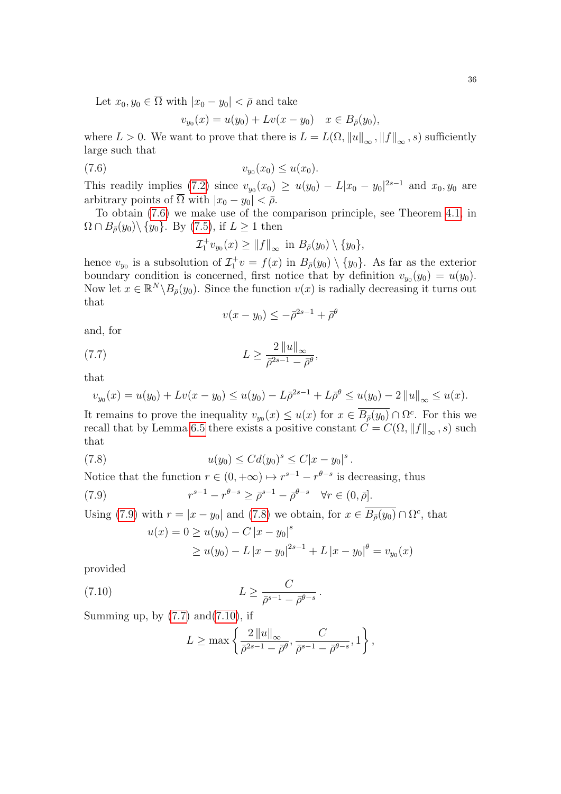Let  $x_0, y_0 \in \overline{\Omega}$  with  $|x_0 - y_0| < \overline{\rho}$  and take

<span id="page-35-0"></span>
$$
v_{y_0}(x) = u(y_0) + Lv(x - y_0) \quad x \in B_{\bar{\rho}}(y_0),
$$

where  $L > 0$ . We want to prove that there is  $L = L(\Omega, \|u\|_{\infty}, \|f\|_{\infty}, s)$  sufficiently large such that

$$
(7.6) \t\t\t v_{y_0}(x_0) \le u(x_0).
$$

This readily implies [\(7.2\)](#page-32-2) since  $v_{y_0}(x_0) \ge u(y_0) - L|x_0 - y_0|^{2s-1}$  and  $x_0, y_0$  are arbitrary points of  $\overline{\Omega}$  with  $|x_0 - y_0| < \overline{\rho}$ .

To obtain [\(7.6\)](#page-35-0) we make use of the comparison principle, see Theorem [4.1,](#page-11-5) in  $\Omega \cap B_{\bar{\rho}}(y_0) \setminus \{y_0\}.$  By [\(7.5\)](#page-34-0), if  $L \geq 1$  then

$$
\mathcal{I}_1^+ v_{y_0}(x) \ge ||f||_{\infty} \text{ in } B_{\bar{\rho}}(y_0) \setminus \{y_0\},
$$

hence  $v_{y_0}$  is a subsolution of  $\mathcal{I}_1^+ v = f(x)$  in  $B_{\bar{\rho}}(y_0) \setminus \{y_0\}$ . As far as the exterior boundary condition is concerned, first notice that by definition  $v_{y_0}(y_0) = u(y_0)$ . Now let  $x \in \mathbb{R}^N \backslash B_{\bar{\rho}}(y_0)$ . Since the function  $v(x)$  is radially decreasing it turns out that

<span id="page-35-3"></span>
$$
v(x-y_0)\leq -\bar\rho^{2s-1}+\bar\rho^\theta
$$

and, for

$$
(7.7)\qquad \qquad L \ge \frac{2\left\|u\right\|_{\infty}}{\bar{\rho}^{2s-1} - \bar{\rho}^{\theta}},
$$

that

$$
v_{y_0}(x) = u(y_0) + Lv(x - y_0) \le u(y_0) - L\bar{\rho}^{2s-1} + L\bar{\rho}^{\theta} \le u(y_0) - 2||u||_{\infty} \le u(x).
$$

It remains to prove the inequality  $v_{y_0}(x) \le u(x)$  for  $x \in \overline{B_{\overline{\rho}}(y_0)} \cap \Omega^c$ . For this we recall that by Lemma [6.5](#page-29-0) there exists a positive constant  $C = C(\Omega, ||f||_{\infty}, s)$  such that

(7.8) 
$$
u(y_0) \leq C d(y_0)^s \leq C |x - y_0|^s.
$$

Notice that the function  $r \in (0, +\infty) \mapsto r^{s-1} - r^{\theta-s}$  is decreasing, thus

(7.9) 
$$
r^{s-1} - r^{\theta - s} \geq \bar{\rho}^{s-1} - \bar{\rho}^{\theta - s} \quad \forall r \in (0, \bar{\rho}].
$$

Using [\(7.9\)](#page-35-1) with  $r = |x - y_0|$  and [\(7.8\)](#page-35-2) we obtain, for  $x \in \overline{B_{\bar{\rho}}(y_0)} \cap \Omega^c$ , that

<span id="page-35-2"></span><span id="page-35-1"></span>
$$
u(x) = 0 \ge u(y_0) - C |x - y_0|^s
$$
  
 
$$
\ge u(y_0) - L |x - y_0|^{2s-1} + L |x - y_0|^{\theta} = v_{y_0}(x)
$$

provided

$$
(7.10) \t\t\t L \geq \frac{C}{\bar{\rho}^{s-1} - \bar{\rho}^{\theta-s}}.
$$

Summing up, by  $(7.7)$  and $(7.10)$ , if

<span id="page-35-4"></span>
$$
L \ge \max\left\{\frac{2\left\|u\right\|_{\infty}}{\bar{\rho}^{2s-1} - \bar{\rho}^{\theta}}, \frac{C}{\bar{\rho}^{s-1} - \bar{\rho}^{\theta-s}}, 1\right\},\,
$$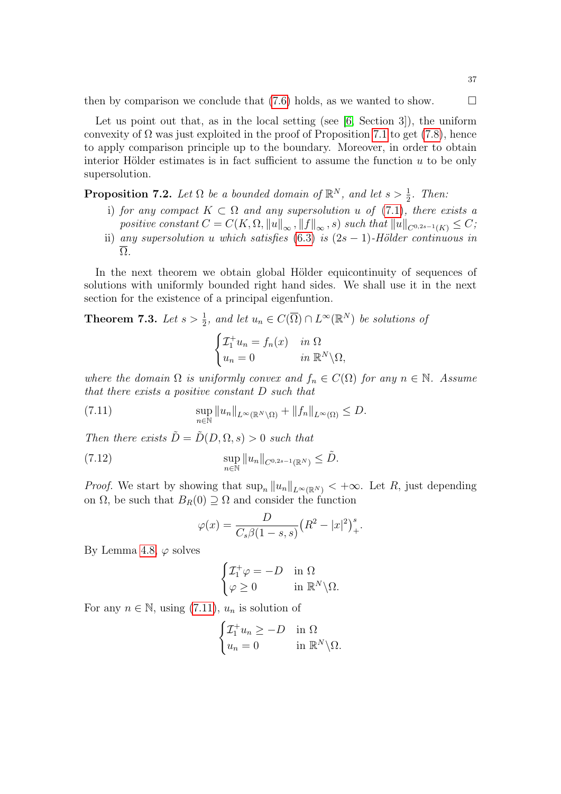then by comparison we conclude that  $(7.6)$  holds, as we wanted to show.  $\Box$ 

Let us point out that, as in the local setting (see  $[6, \text{Section 3}]$  $[6, \text{Section 3}]$ ), the uniform convexity of  $\Omega$  was just exploited in the proof of Proposition [7.1](#page-32-3) to get [\(7.8\)](#page-35-2), hence to apply comparison principle up to the boundary. Moreover, in order to obtain interior Hölder estimates is in fact sufficient to assume the function  $u$  to be only supersolution.

**Proposition 7.2.** Let  $\Omega$  be a bounded domain of  $\mathbb{R}^N$ , and let  $s > \frac{1}{2}$ . Then:

- i) for any compact  $K \subset \Omega$  and any supersolution u of [\(7.1\)](#page-32-4), there exists a positive constant  $C = C(K, \Omega, ||u||_{\infty}, ||f||_{\infty}, s)$  such that  $||u||_{C^{0,2s-1}(K)} \leq C$ ;
- ii) any supersolution u which satisfies [\(6.3\)](#page-30-0) is  $(2s 1)$ -Hölder continuous in  $\overline{\Omega}$ .

In the next theorem we obtain global Hölder equicontinuity of sequences of solutions with uniformly bounded right hand sides. We shall use it in the next section for the existence of a principal eigenfuntion.

<span id="page-36-2"></span>**Theorem 7.3.** Let  $s > \frac{1}{2}$ , and let  $u_n \in C(\overline{\Omega}) \cap L^{\infty}(\mathbb{R}^N)$  be solutions of

<span id="page-36-0"></span>
$$
\begin{cases} \mathcal{I}_1^+ u_n = f_n(x) & \text{in } \Omega \\ u_n = 0 & \text{in } \mathbb{R}^N \backslash \Omega, \end{cases}
$$

where the domain  $\Omega$  is uniformly convex and  $f_n \in C(\Omega)$  for any  $n \in \mathbb{N}$ . Assume that there exists a positive constant D such that

(7.11) 
$$
\sup_{n\in\mathbb{N}} \|u_n\|_{L^{\infty}(\mathbb{R}^N\setminus\Omega)} + \|f_n\|_{L^{\infty}(\Omega)} \leq D.
$$

Then there exists  $\tilde{D} = \tilde{D}(D, \Omega, s) > 0$  such that

(7.12) 
$$
\sup_{n \in \mathbb{N}} \|u_n\|_{C^{0,2s-1}(\mathbb{R}^N)} \leq \tilde{D}.
$$

*Proof.* We start by showing that  $\sup_n ||u_n||_{L^\infty(\mathbb{R}^N)} < +\infty$ . Let R, just depending on  $\Omega$ , be such that  $B_R(0) \supseteq \Omega$  and consider the function

<span id="page-36-1"></span>
$$
\varphi(x) = \frac{D}{C_s \beta (1 - s, s)} (R^2 - |x|^2)^s_+.
$$

By Lemma [4.8,](#page-17-1)  $\varphi$  solves

$$
\begin{cases} \mathcal{I}_1^+ \varphi = -D & \text{in } \Omega \\ \varphi \ge 0 & \text{in } \mathbb{R}^N \backslash \Omega. \end{cases}
$$

For any  $n \in \mathbb{N}$ , using [\(7.11\)](#page-36-0),  $u_n$  is solution of

$$
\begin{cases} \mathcal{I}_1^+ u_n \ge -D & \text{in } \Omega \\ u_n = 0 & \text{in } \mathbb{R}^N \backslash \Omega. \end{cases}
$$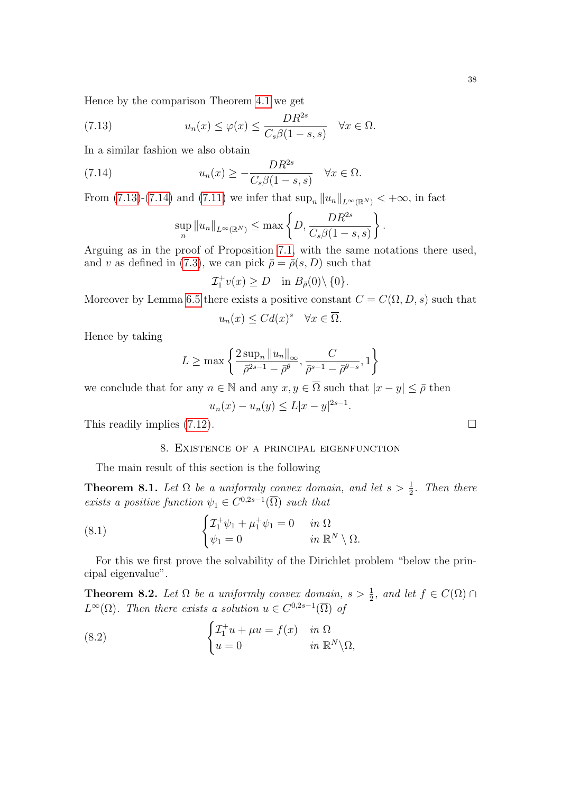Hence by the comparison Theorem [4.1](#page-11-5) we get

(7.13) 
$$
u_n(x) \le \varphi(x) \le \frac{DR^{2s}}{C_s\beta(1-s,s)} \quad \forall x \in \Omega.
$$

In a similar fashion we also obtain

(7.14) 
$$
u_n(x) \ge -\frac{DR^{2s}}{C_s\beta(1-s,s)} \quad \forall x \in \Omega.
$$

From [\(7.13\)](#page-37-1)-[\(7.14\)](#page-37-2) and [\(7.11\)](#page-36-0) we infer that  $\sup_n ||u_n||_{L^{\infty}(\mathbb{R}^N)} < +\infty$ , in fact

<span id="page-37-2"></span><span id="page-37-1"></span>
$$
\sup_{n} ||u_n||_{L^{\infty}(\mathbb{R}^N)} \leq \max \left\{ D, \frac{DR^{2s}}{C_s \beta (1-s, s)} \right\}.
$$

Arguing as in the proof of Proposition [7.1,](#page-32-3) with the same notations there used, and v as defined in [\(7.3\)](#page-32-5), we can pick  $\bar{\rho} = \bar{\rho}(s, D)$  such that

$$
\mathcal{I}_1^+ v(x) \ge D \quad \text{in } B_{\bar{\rho}}(0) \setminus \{0\}.
$$

Moreover by Lemma [6.5](#page-29-0) there exists a positive constant  $C = C(\Omega, D, s)$  such that

$$
u_n(x) \le C d(x)^s \quad \forall x \in \overline{\Omega}.
$$

Hence by taking

$$
L \ge \max\left\{\frac{2\sup_n \|u_n\|_{\infty}}{\bar{\rho}^{2s-1} - \bar{\rho}^{\theta}}, \frac{C}{\bar{\rho}^{s-1} - \bar{\rho}^{\theta-s}}, 1\right\}
$$

we conclude that for any  $n \in \mathbb{N}$  and any  $x, y \in \overline{\Omega}$  such that  $|x - y| \leq \overline{\rho}$  then

$$
u_n(x) - u_n(y) \le L|x - y|^{2s - 1}
$$

.

<span id="page-37-0"></span>This readily implies  $(7.12)$ .

## <span id="page-37-6"></span>8. Existence of a principal eigenfunction

The main result of this section is the following

<span id="page-37-4"></span>**Theorem 8.1.** Let  $\Omega$  be a uniformly convex domain, and let  $s > \frac{1}{2}$ . Then there exists a positive function  $\psi_1 \in C^{0,2s-1}(\overline{\Omega})$  such that

(8.1) 
$$
\begin{cases} \mathcal{I}_1^+ \psi_1 + \mu_1^+ \psi_1 = 0 & \text{in } \Omega \\ \psi_1 = 0 & \text{in } \mathbb{R}^N \setminus \Omega. \end{cases}
$$

For this we first prove the solvability of the Dirichlet problem "below the principal eigenvalue".

<span id="page-37-5"></span>**Theorem 8.2.** Let  $\Omega$  be a uniformly convex domain,  $s > \frac{1}{2}$ , and let  $f \in C(\Omega) \cap$  $L^{\infty}(\Omega)$ . Then there exists a solution  $u \in C^{0,2s-1}(\overline{\Omega})$  of

<span id="page-37-3"></span>(8.2) 
$$
\begin{cases} \mathcal{I}_1^+ u + \mu u = f(x) & \text{in } \Omega \\ u = 0 & \text{in } \mathbb{R}^N \backslash \Omega, \end{cases}
$$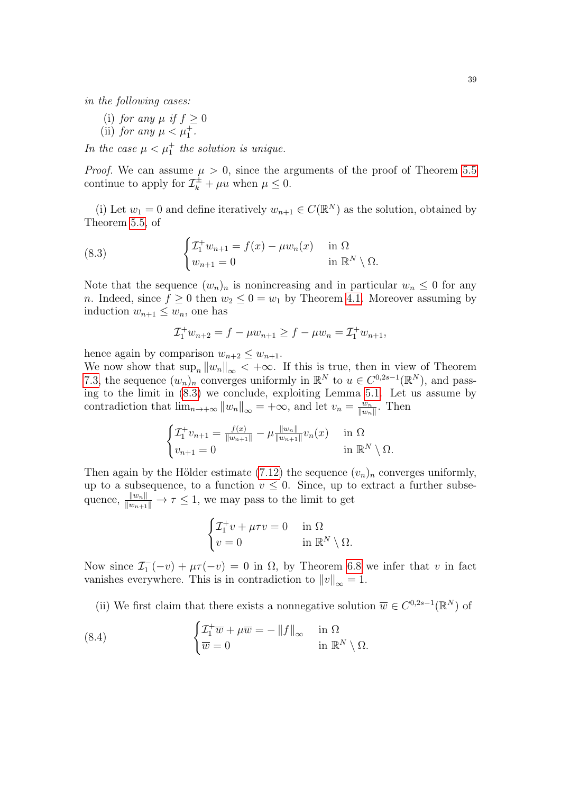in the following cases:

- (i) for any  $\mu$  if  $f \geq 0$
- (ii) for any  $\mu < \mu_1^+$ .

In the case  $\mu < \mu_1^+$  the solution is unique.

*Proof.* We can assume  $\mu > 0$ , since the arguments of the proof of Theorem [5.5](#page-25-2) continue to apply for  $\mathcal{I}_{k}^{\pm} + \mu u$  when  $\mu \leq 0$ .

(i) Let  $w_1 = 0$  and define iteratively  $w_{n+1} \in C(\mathbb{R}^N)$  as the solution, obtained by Theorem [5.5,](#page-25-2) of

(8.3) 
$$
\begin{cases} \mathcal{I}_1^+ w_{n+1} = f(x) - \mu w_n(x) & \text{in } \Omega \\ w_{n+1} = 0 & \text{in } \mathbb{R}^N \setminus \Omega. \end{cases}
$$

Note that the sequence  $(w_n)_n$  is nonincreasing and in particular  $w_n \leq 0$  for any *n*. Indeed, since  $f \ge 0$  then  $w_2 \le 0 = w_1$  by Theorem [4.1.](#page-11-5) Moreover assuming by induction  $w_{n+1} \leq w_n$ , one has

<span id="page-38-0"></span>
$$
\mathcal{I}_1^+ w_{n+2} = f - \mu w_{n+1} \ge f - \mu w_n = \mathcal{I}_1^+ w_{n+1},
$$

hence again by comparison  $w_{n+2} \leq w_{n+1}$ .

We now show that  $\sup_n ||w_n||_{\infty} < +\infty$ . If this is true, then in view of Theorem [7.3,](#page-36-2) the sequence  $(w_n)_n$  converges uniformly in  $\mathbb{R}^N$  to  $u \in C^{0,2s-1}(\mathbb{R}^N)$ , and passing to the limit in [\(8.3\)](#page-38-0) we conclude, exploiting Lemma [5.1.](#page-22-2) Let us assume by contradiction that  $\lim_{n\to+\infty} ||w_n||_{\infty} = +\infty$ , and let  $v_n = \frac{w_n}{||w_n||}$  $\frac{w_n}{\|w_n\|}$ . Then

$$
\begin{cases} \mathcal{I}_1^+ v_{n+1} = \frac{f(x)}{\|w_{n+1}\|} - \mu \frac{\|w_n\|}{\|w_{n+1}\|} v_n(x) & \text{in } \Omega\\ v_{n+1} = 0 & \text{in } \mathbb{R}^N \setminus \Omega. \end{cases}
$$

Then again by the Hölder estimate [\(7.12\)](#page-36-1) the sequence  $(v_n)_n$  converges uniformly, up to a subsequence, to a function  $v \leq 0$ . Since, up to extract a further subsequence,  $\frac{||w_n||}{||w_{n+1}||} \to \tau \leq 1$ , we may pass to the limit to get

$$
\begin{cases} \mathcal{I}_1^+ v + \mu \tau v = 0 & \text{in } \Omega \\ v = 0 & \text{in } \mathbb{R}^N \setminus \Omega. \end{cases}
$$

Now since  $\mathcal{I}_1^-(-v) + \mu \tau(-v) = 0$  in  $\Omega$ , by Theorem [6.8](#page-32-6) we infer that v in fact vanishes everywhere. This is in contradiction to  $||v||_{\infty} = 1$ .

<span id="page-38-1"></span>(ii) We first claim that there exists a nonnegative solution  $\overline{w} \in C^{0,2s-1}(\mathbb{R}^N)$  of

(8.4) 
$$
\begin{cases} \mathcal{I}_1^+ \overline{w} + \mu \overline{w} = -\|f\|_{\infty} & \text{in } \Omega \\ \overline{w} = 0 & \text{in } \mathbb{R}^N \setminus \Omega. \end{cases}
$$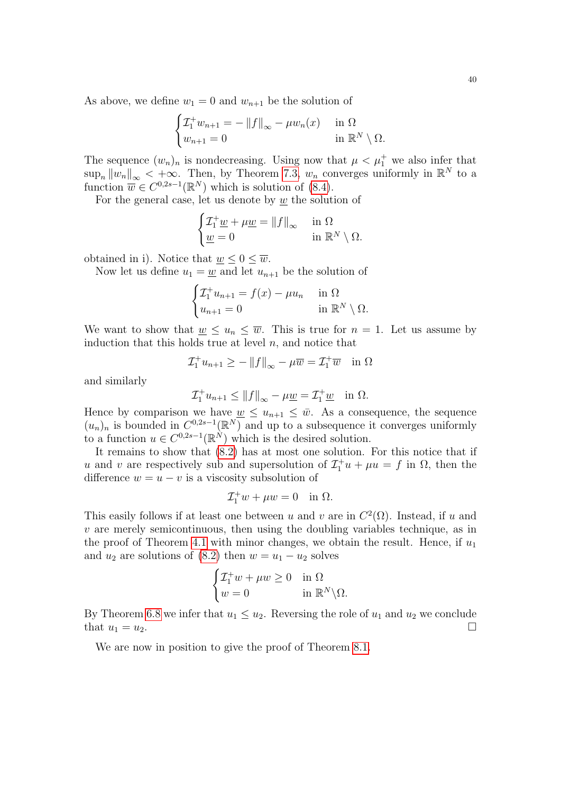As above, we define  $w_1 = 0$  and  $w_{n+1}$  be the solution of

$$
\begin{cases} \mathcal{I}_1^+ w_{n+1} = -\|f\|_{\infty} - \mu w_n(x) & \text{in } \Omega\\ w_{n+1} = 0 & \text{in } \mathbb{R}^N \setminus \Omega. \end{cases}
$$

The sequence  $(w_n)_n$  is nondecreasing. Using now that  $\mu < \mu_1^+$  we also infer that  $\sup_n \|w_n\|_{\infty} < +\infty$ . Then, by Theorem [7.3,](#page-36-2)  $w_n$  converges uniformly in  $\mathbb{R}^N$  to a function  $\overline{w} \in C^{0,2s-1}(\mathbb{R}^N)$  which is solution of  $(8.4)$ .

For the general case, let us denote by  $\underline{w}$  the solution of

$$
\begin{cases} \mathcal{I}_1^+ \underline{w} + \mu \underline{w} = ||f||_{\infty} & \text{in } \Omega \\ \underline{w} = 0 & \text{in } \mathbb{R}^N \setminus \Omega. \end{cases}
$$

obtained in i). Notice that  $\underline{w} \leq 0 \leq \overline{w}$ .

Now let us define  $u_1 = \underline{w}$  and let  $u_{n+1}$  be the solution of

$$
\begin{cases} \mathcal{I}_1^+ u_{n+1} = f(x) - \mu u_n & \text{in } \Omega \\ u_{n+1} = 0 & \text{in } \mathbb{R}^N \setminus \Omega. \end{cases}
$$

We want to show that  $\underline{w} \leq u_n \leq \overline{w}$ . This is true for  $n = 1$ . Let us assume by induction that this holds true at level  $n$ , and notice that

$$
\mathcal{I}_1^+ u_{n+1} \ge -\|f\|_{\infty} - \mu \overline{w} = \mathcal{I}_1^+ \overline{w} \quad \text{in } \Omega
$$

and similarly

$$
\mathcal{I}_1^+ u_{n+1} \le ||f||_{\infty} - \mu \underline{w} = \mathcal{I}_1^+ \underline{w} \quad \text{in } \Omega.
$$

Hence by comparison we have  $\underline{w} \leq u_{n+1} \leq \overline{w}$ . As a consequence, the sequence  $(u_n)_n$  is bounded in  $C^{0,2s-1}(\mathbb{R}^N)$  and up to a subsequence it converges uniformly to a function  $u \in C^{0,2s-1}(\mathbb{R}^N)$  which is the desired solution.

It remains to show that [\(8.2\)](#page-37-3) has at most one solution. For this notice that if u and v are respectively sub and supersolution of  $\mathcal{I}_1^+ u + \mu u = f$  in  $\Omega$ , then the difference  $w = u - v$  is a viscosity subsolution of

$$
\mathcal{I}_1^+ w + \mu w = 0 \quad \text{in } \Omega.
$$

This easily follows if at least one between u and v are in  $C^2(\Omega)$ . Instead, if u and  $v$  are merely semicontinuous, then using the doubling variables technique, as in the proof of Theorem [4.1](#page-11-5) with minor changes, we obtain the result. Hence, if  $u_1$ and  $u_2$  are solutions of [\(8.2\)](#page-37-3) then  $w = u_1 - u_2$  solves

$$
\begin{cases} \mathcal{I}_1^+ w + \mu w \ge 0 & \text{in } \Omega \\ w = 0 & \text{in } \mathbb{R}^N \backslash \Omega. \end{cases}
$$

By Theorem [6.8](#page-32-6) we infer that  $u_1 \leq u_2$ . Reversing the role of  $u_1$  and  $u_2$  we conclude that  $u_1 = u_2$ .

We are now in position to give the proof of Theorem [8.1.](#page-37-4)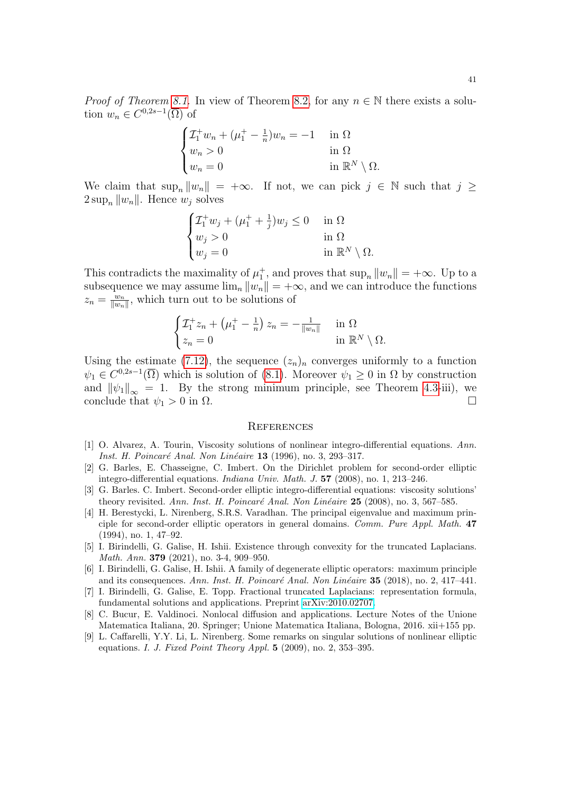$$
\begin{cases} \mathcal{I}_1^+ w_n + (\mu_1^+ - \frac{1}{n})w_n = -1 & \text{in } \Omega \\ w_n > 0 & \text{in } \Omega \\ w_n = 0 & \text{in } \mathbb{R}^N \setminus \Omega. \end{cases}
$$

We claim that  $\sup_n \|w_n\| = +\infty$ . If not, we can pick  $j \in \mathbb{N}$  such that  $j \geq$  $2 \sup_n ||w_n||$ . Hence  $w_i$  solves

$$
\begin{cases} \mathcal{I}_1^+ w_j + (\mu_1^+ + \frac{1}{j}) w_j \le 0 & \text{in } \Omega \\ w_j > 0 & \text{in } \Omega \\ w_j = 0 & \text{in } \mathbb{R}^N \setminus \Omega. \end{cases}
$$

This contradicts the maximality of  $\mu_1^+$ , and proves that  $\sup_n ||w_n|| = +\infty$ . Up to a subsequence we may assume  $\lim_{n} ||w_n|| = +\infty$ , and we can introduce the functions  $z_n = \frac{w_n}{\|w_n\|}$  $\frac{w_n}{\|w_n\|}$ , which turn out to be solutions of

$$
\begin{cases} \mathcal{I}_1^+ z_n + \left( \mu_1^+ - \frac{1}{n} \right) z_n = -\frac{1}{\|w_n\|} & \text{in } \Omega \\ z_n = 0 & \text{in } \mathbb{R}^N \setminus \Omega. \end{cases}
$$

Using the estimate [\(7.12\)](#page-36-1), the sequence  $(z_n)_n$  converges uniformly to a function  $\psi_1 \in C^{0,2s-1}(\overline{\Omega})$  which is solution of [\(8.1\)](#page-37-6). Moreover  $\psi_1 \geq 0$  in  $\Omega$  by construction and  $\|\psi_1\|_{\infty} = 1$ . By the strong minimum principle, see Theorem [4.3-](#page-14-0)iii), we conclude that  $\psi_1 > 0$  in  $\Omega$ . conclude that  $\psi_1 > 0$  in  $\Omega$ .

#### **REFERENCES**

- <span id="page-40-8"></span>[1] O. Alvarez, A. Tourin, Viscosity solutions of nonlinear integro-differential equations. Ann. Inst. H. Poincaré Anal. Non Linéaire 13 (1996), no. 3, 293–317.
- <span id="page-40-1"></span>[2] G. Barles, E. Chasseigne, C. Imbert. On the Dirichlet problem for second-order elliptic integro-differential equations. Indiana Univ. Math. J. 57 (2008), no. 1, 213–246.
- <span id="page-40-2"></span>[3] G. Barles. C. Imbert. Second-order elliptic integro-differential equations: viscosity solutions' theory revisited. Ann. Inst. H. Poincaré Anal. Non Linéaire  $25$  (2008), no. 3, 567–585.
- <span id="page-40-3"></span>[4] H. Berestycki, L. Nirenberg, S.R.S. Varadhan. The principal eigenvalue and maximum principle for second-order elliptic operators in general domains. Comm. Pure Appl. Math. 47 (1994), no. 1, 47–92.
- <span id="page-40-5"></span>[5] I. Birindelli, G. Galise, H. Ishii. Existence through convexity for the truncated Laplacians. Math. Ann. 379 (2021), no. 3-4, 909–950.
- <span id="page-40-6"></span>[6] I. Birindelli, G. Galise, H. Ishii. A family of degenerate elliptic operators: maximum principle and its consequences. Ann. Inst. H. Poincaré Anal. Non Linéaire 35 (2018), no. 2, 417–441.
- <span id="page-40-0"></span>[7] I. Birindelli, G. Galise, E. Topp. Fractional truncated Laplacians: representation formula, fundamental solutions and applications. Preprint [arXiv:2010.02707.](http://arxiv.org/abs/2010.02707)
- <span id="page-40-7"></span>[8] C. Bucur, E. Valdinoci. Nonlocal diffusion and applications. Lecture Notes of the Unione Matematica Italiana, 20. Springer; Unione Matematica Italiana, Bologna, 2016. xii+155 pp.
- <span id="page-40-4"></span>[9] L. Caffarelli, Y.Y. Li, L. Nirenberg. Some remarks on singular solutions of nonlinear elliptic equations. I. J. Fixed Point Theory Appl.  $5$  (2009), no. 2, 353–395.